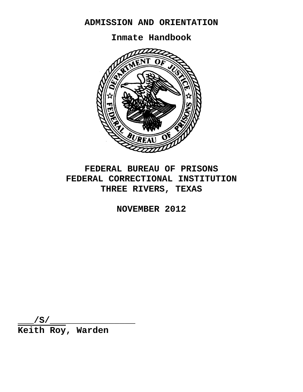# **ADMISSION AND ORIENTATION**

**Inmate Handbook**



# **FEDERAL BUREAU OF PRISONS FEDERAL CORRECTIONAL INSTITUTION THREE RIVERS, TEXAS**

**NOVEMBER 2012**

**\_\_\_/S/\_\_\_\_\_\_\_\_\_\_\_\_\_\_\_\_ Keith Roy, Warden**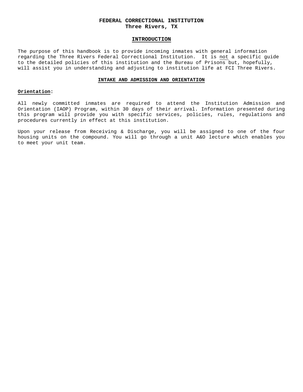# **FEDERAL CORRECTIONAL INSTITUTION Three Rivers, TX**

## **INTRODUCTION**

The purpose of this handbook is to provide incoming inmates with general information regarding the Three Rivers Federal Correctional Institution. It is not a specific guide to the detailed policies of this institution and the Bureau of Prisons but, hopefully, will assist you in understanding and adjusting to institution life at FCI Three Rivers.

## **INTAKE AND ADMISSION AND ORIENTATION**

## **Orientation:**

All newly committed inmates are required to attend the Institution Admission and Orientation (IAOP) Program, within 30 days of their arrival. Information presented during this program will provide you with specific services, policies, rules, regulations and procedures currently in effect at this institution.

Upon your release from Receiving & Discharge, you will be assigned to one of the four housing units on the compound. You will go through a unit A&O lecture which enables you to meet your unit team.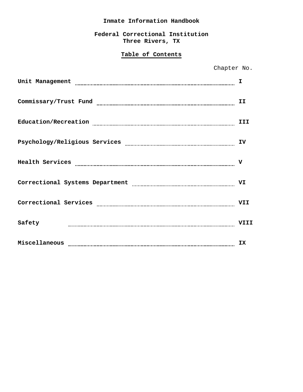# **Inmate Information Handbook**

**Federal Correctional Institution Three Rivers, TX**

# **Table of Contents**

| Chapter No.                     |      |
|---------------------------------|------|
| Unit Management                 |      |
| Commissary/Trust Fund           | II   |
| Education/Recreation            | III  |
| Psychology/Religious Services   | IV   |
| Health Services                 | v    |
| Correctional Systems Department | VI   |
| Correctional Services           | VII  |
| Safety                          | VIII |
| Miscellaneous                   | IX   |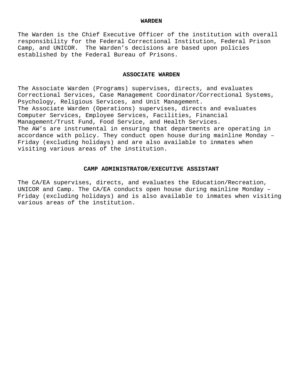# **WARDEN**

The Warden is the Chief Executive Officer of the institution with overall responsibility for the Federal Correctional Institution, Federal Prison Camp, and UNICOR. The Warden's decisions are based upon policies established by the Federal Bureau of Prisons.

# **ASSOCIATE WARDEN**

The Associate Warden (Programs) supervises, directs, and evaluates Correctional Services, Case Management Coordinator/Correctional Systems, Psychology, Religious Services, and Unit Management. The Associate Warden (Operations) supervises, directs and evaluates Computer Services, Employee Services, Facilities, Financial Management/Trust Fund, Food Service, and Health Services. The AW's are instrumental in ensuring that departments are operating in accordance with policy. They conduct open house during mainline Monday – Friday (excluding holidays) and are also available to inmates when visiting various areas of the institution.

# **CAMP ADMINISTRATOR/EXECUTIVE ASSISTANT**

The CA/EA supervises, directs, and evaluates the Education/Recreation, UNICOR and Camp. The CA/EA conducts open house during mainline Monday – Friday (excluding holidays) and is also available to inmates when visiting various areas of the institution.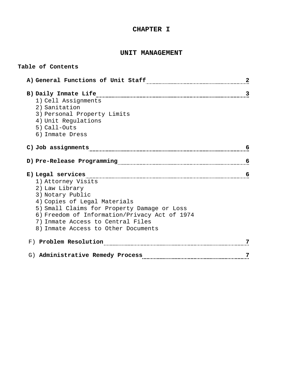# **CHAPTER I**

# **UNIT MANAGEMENT**

# **Table of Contents**

| B) Daily Inmate Life                                                                                                                                                                                                           | 3 |
|--------------------------------------------------------------------------------------------------------------------------------------------------------------------------------------------------------------------------------|---|
| 1) Cell Assignments                                                                                                                                                                                                            |   |
| 2) Sanitation                                                                                                                                                                                                                  |   |
| 3) Personal Property Limits                                                                                                                                                                                                    |   |
| 4) Unit Requlations                                                                                                                                                                                                            |   |
| 5) Call-Outs<br>6) Inmate Dress                                                                                                                                                                                                |   |
|                                                                                                                                                                                                                                |   |
| C) Job assignments [[[[[[[[[[[[[[[[[[[]]]]]]]]]                                                                                                                                                                                | 6 |
|                                                                                                                                                                                                                                |   |
|                                                                                                                                                                                                                                |   |
|                                                                                                                                                                                                                                | 6 |
|                                                                                                                                                                                                                                |   |
|                                                                                                                                                                                                                                | 6 |
| 1) Attorney Visits                                                                                                                                                                                                             |   |
| 2) Law Library                                                                                                                                                                                                                 |   |
| 3) Notary Public<br>4) Copies of Legal Materials                                                                                                                                                                               |   |
| 5) Small Claims for Property Damage or Loss                                                                                                                                                                                    |   |
| 6) Freedom of Information/Privacy Act of 1974                                                                                                                                                                                  |   |
| 7) Inmate Access to Central Files                                                                                                                                                                                              |   |
| 8) Inmate Access to Other Documents                                                                                                                                                                                            |   |
| F) Problem Resolution [11] Problem Resolution [11] Problem Resolution [11] Problem Resolution [11] Problem Resolution [11] Problem Resolution [11] Problem Resolution [11] Problem Resolution [11] Problem Resolution [11] Pro | 7 |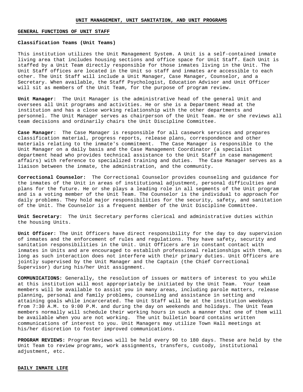#### **GENERAL FUNCTIONS OF UNIT STAFF**

## **Classification Teams (Unit Teams)**

This institution utilizes the Unit Management System. A Unit is a self-contained inmate living area that includes housing sections and office space for Unit Staff. Each Unit is staffed by a Unit Team directly responsible for those inmates living in the Unit. The Unit Staff offices are located in the Unit so staff and inmates are accessible to each other. The Unit Staff will include a Unit Manager, Case Manager, Counselor, and a Secretary. When available, the Staff Psychologist, Education Advisor and Unit Officer will sit as members of the Unit Team, for the purpose of program review.

**Unit Manager**: The Unit Manager is the administrative head of the general Unit and oversees all Unit programs and activities. He or she is a Department Head at the institution and has a close working relationship with the other departments and personnel. The Unit Manager serves as chairperson of the Unit Team. He or she reviews all team decisions and ordinarily chairs the Unit Discipline Committee.

**Case Manager**: The Case Manager is responsible for all casework services and prepares classification material, progress reports, release plans, correspondence and other materials relating to the inmate's commitment. The Case Manager is responsible to the Unit Manager on a daily basis and the Case Management Coordinator (a specialist department head who provides technical assistance to the Unit Staff in case management affairs) with reference to specialized training and duties. The Case Manager serves as a liaison between the inmate, the administration, and the community.

**Correctional Counselor:** The Correctional Counselor provides counseling and guidance for the inmates of the Unit in areas of institutional adjustment, personal difficulties and plans for the future. He or she plays a leading role in all segments of the Unit program and is a voting member of the Unit Team. The Counselor is the individual to approach for daily problems. They hold major responsibilities for the security, safety, and sanitation of the Unit. The Counselor is a frequent member of the Unit Discipline Committee.

**Unit Secretary**: The Unit Secretary performs clerical and administrative duties within the housing Units.

**Unit Officer**: The Unit Officers have direct responsibility for the day to day supervision of inmates and the enforcement of rules and regulations. They have safety, security and sanitation responsibilities in the Unit. Unit Officers are in constant contact with inmates in Units and are encouraged to establish professional relationships with them, as long as such interaction does not interfere with their primary duties. Unit Officers are jointly supervised by the Unit Manager and the Captain (the Chief Correctional Supervisor) during his/her Unit assignment.

**COMMUNICATIONS:** Generally, the resolution of issues or matters of interest to you while at this institution will most appropriately be initiated by the Unit Team. Your team members will be available to assist you in many areas, including parole matters, release planning, personal and family problems, counseling and assistance in setting and attaining goals while incarcerated. The Unit Staff will be at the institution weekdays from 7:30 A.M. to 9:00 P.M. and during the day on weekends and holidays. The Unit Team members normally will schedule their working hours in such a manner that one of them will be available when you are not working. The unit bulletin board contains written communications of interest to you. Unit Managers may utilize Town Hall meetings at his/her discretion to foster improved communications.

**PROGRAM REVIEWS:** Program Reviews will be held every 90 to 180 days. These are held by the Unit Team to review programs, work assignments, transfers, custody, institutional adjustment, etc.

#### **DAILY INMATE LIFE**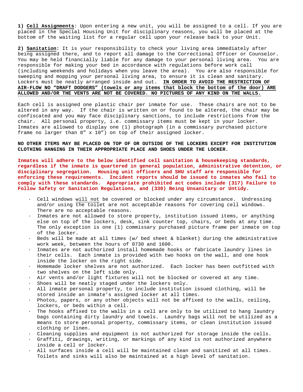**1) Cell Assignments**: Upon entering a new unit, you will be assigned to a cell. If you are placed in the Special Housing Unit for disciplinary reasons, you will be placed at the bottom of the waiting list for a regular cell upon your release back to your Unit.

**2) Sanitation:** It is your responsibility to check your living area immediately after being assigned there, and to report all damage to the Correctional Officer or Counselor. You may be held financially liable for any damage to your personal living area. You are responsible for making your bed in accordance with regulations before work call (including weekends and holidays when you leave the area). You are also responsible for sweeping and mopping your personal living area, to ensure it is clean and sanitary. Lockers must be neatly arranged inside and out. **IN ORDER TO AVOID THE RESTRICTION OF AIR-FLOW NO "DRAFT DODGERS" (towels or any items that block the bottom of the door) ARE ALLOWED AND/OR THE VENTS ARE NOT BE COVERED. NO PICTURES OF ANY KIND ON THE WALLS.**

Each cell is assigned one plastic chair per inmate for use. These chairs are not to be altered in any way. If the chair is written on or found to be altered, the chair may be confiscated and you may face disciplinary sanctions, to include restrictions from the chair. All personal property, i.e. commissary items must be kept in your locker. Inmates are allowed to display one (1) photograph (in a commissary purchased picture frame no larger than 8" x 10") on top of their assigned locker.

**NO OTHER ITEMS MAY BE PLACED ON TOP OF OR OUTSIDE OF THE LOCKERS EXCEPT FOR INSTITUTION CLOTHING HANGING IN THEIR APPROPRIATE PLACE AND SHOES UNDER THE LOCKER.**

**Inmates will adhere to the below identified cell sanitation & housekeeping standards, regardless if the inmate is quartered in general population, administrative detention, or disciplinary segregation. Housing unit officers and SHU staff are responsible for enforcing these requirements. Incident reports should be issued to inmates who fail to comply with these standards. Appropriate prohibited act codes include (317) Failure to Follow Safety or Sanitation Regulations, and (330) Being Unsanitary or Untidy.** 

- · Cell windows will not be covered or blocked under any circumstance. Undressing and/or using the toilet are not acceptable reasons for covering cell windows. There are no acceptable reasons.
- · Inmates are not allowed to store property, institution issued items, or anything else on top of the lockers, desk, sink counter top, chairs, or beds at any time. The only exception is one (1) commissary purchased picture frame per inmate on top of the locker.
- · Beds will be made at all times (w/ bed sheet & blanket) during the administrative work week, between the hours of 0730 and 1600.
- · Inmates are not authorized install homemade hooks or fabricate laundry lines in their cells. Each inmate is provided with two hooks on the wall, and one hook inside the locker on the right side.
- · Homemade locker shelves are not authorized. Each locker has been outfitted with two shelves on the left side only.
- · Air vents and/or light fixtures will not be blocked or covered at any time.
- · Shoes will be neatly staged under the lockers only.
- · All inmate personal property, to include institution issued clothing, will be stored inside an inmate's assigned locker at all times.
- · Photos, papers, or any other objects will not be affixed to the walls, ceiling, lockers, or beds within a cell.
- The hooks affixed to the walls in a cell are only to be utilized to hang laundry bags containing dirty laundry and towels. Laundry bags will not be utilized as a means to store personal property, commissary items, or clean institution issued clothing or linen.
- · Cleaning supplies and equipment is not authorized for storage inside the cells.
- · Graffiti, drawings, writing, or markings of any kind is not authorized anywhere inside a cell or locker.
- · All surfaces inside a cell will be maintained clean and sanitized at all times. Toilets and sinks will also be maintained at a high level of sanitation.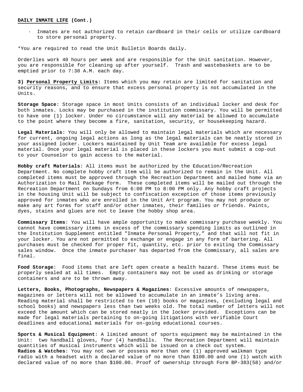#### **DAILY INMATE LIFE (Cont.)**

· Inmates are not authorized to retain cardboard in their cells or utilize cardboard to store personal property.

\*You are required to read the Unit Bulletin Boards daily**.** 

Orderlies work 40 hours per week and are responsible for the Unit sanitation. However, you are responsible for cleaning up after yourself. Trash and wastebaskets are to be emptied prior to 7:30 A.M. each day.

**3) Personal Property Limits:** Items which you may retain are limited for sanitation and security reasons, and to ensure that excess personal property is not accumulated in the Units.

**Storage Space**: Storage space in most Units consists of an individual locker and desk for both inmates. Locks may be purchased in the institution commissary. You will be permitted to have one (1) locker. Under no circumstance will any material be allowed to accumulate to the point where they become a fire, sanitation, security, or housekeeping hazard.

**Legal Materials**: You will only be allowed to maintain legal materials which are necessary for current, ongoing legal actions as long as the legal materials can be neatly stored in your assigned locker. Lockers maintained by Unit Team are available for excess legal material. Once your legal material is placed in these lockers you must submit a cop-out to your Counselor to gain access to the material.

**Hobby craft Materials**: All items must be authorized by the Education/Recreation Department. No complete hobby craft item will be authorized to remain in the Unit. All completed items must be approved through the Recreation Department and mailed home via an Authorization to Mail Package form. These completed items will be mailed out through the Recreation Department on Sundays from 6:00 PM to 8:00 PM only. Any hobby craft projects in the housing Unit will be subject to confiscation exception of those items previously approved for inmates who are enrolled in the Unit Art program. You may not produce or make any art forms for staff and/or other inmates, their families or friends. Paints, dyes, stains and glues are not to leave the hobby shop area.

**Commissary Items**: You will have ample opportunity to make commissary purchase weekly. You cannot have commissary items in excess of the commissary spending limits as outlined in the Institution Supplement entitled "Inmate Personal Property," and that will not fit in your locker. You are not permitted to exchange or engage in any form of bartering. All purchases must be checked for proper fit, quantity, etc. prior to exiting the Commissary sales window. Once the inmate purchaser has departed from the Commissary, all sales are final.

**Food Storage**: Food items that are left open create a health hazard. These items must be properly sealed at all times. Empty containers may not be used as drinking or storage containers and are to be thrown away.

**Letters, Books, Photographs, Newspapers & Magazines**: Excessive amounts of newspapers, magazines or letters will not be allowed to accumulate in an inmate's living area. Reading material shall be restricted to ten (10) books or magazines, (excluding legal and school books) and newspapers less than two weeks old. The total number of letters will not exceed the amount which can be stored neatly in the locker provided. Exceptions can be made for legal materials pertaining to on-going litigations with verifiable Court deadlines and educational materials for on-going educational courses.

**Sports & Musical Equipment**: A limited amount of sports equipment may be maintained in the Unit: two handball gloves, four (4) handballs. The Recreation Department will maintain quantities of musical instruments which will be issued on a check out system. **Radios & Watches**: You may not own or possess more than one (1) approved walkman type radio with a headset with a declared value of no more than \$100.00 and one (1) watch with declared value of no more than \$100.00. Proof of ownership through Form BP-383(58) and/or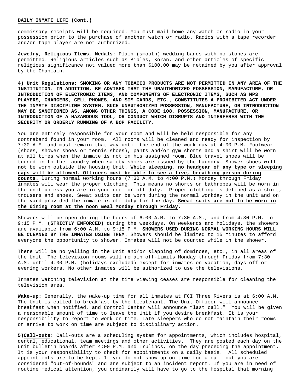#### **DAILY INMATE LIFE (Cont.)**

commissary receipts will be required. You must mail home any watch or radio in your possession prior to the purchase of another watch or radio. Radios with a tape recorder and/or tape player are not authorized**.** 

**Jewelry, Religious Items, Medals**: Plain (smooth) wedding bands with no stones are permitted. Religious articles such as Bibles, Koran, and other articles of specific religious significance not valued more than \$100.00 may be retained by you after approval by the Chaplain.

**4) Unit Regulations: SMOKING OR ANY TOBACCO PRODUCTS ARE NOT PERMITTED IN ANY AREA OF THE INSTITUTION. IN ADDITION, BE ADVISED THAT THE UNAUTHORIZED POSSESSION, MANUFACTURE, OR INTRODUCTION OF ELECTRONIC ITEMS, AND COMPONENTS OF ELECTRONIC ITEMS, SUCH AS MP3 PLAYERS, CHARGERS, CELL PHONES, AND SIM CARDS, ETC., CONSTITUTES A PROHIBITED ACT UNDER THE INMATE DISCIPLINE SYSTEM. SUCH UNAUTHORIZED POSSESSION, MANUFACTURE, OR INTRODUCTION MAY BE SANCTIONED AS, AMONG OTHER THINGS, A CODE 108, POSSESSION, MANUFACTURE, OR INTRODUCTION OF A HAZARDOUS TOOL, OR CONDUCT WHICH DISRUPTS AND INTERFERES WITH THE SECURITY OR ORDERLY RUNNING OF A BOP FACILITY.**

You are entirely responsible for your room and will be held responsible for any contraband found in your room. All rooms will be cleaned and ready for inspection by 7:30 A.M. and must remain that way until the end of the work day at 4:00 P.M. Footwear (shoes, shower shoes or tennis shoes), pants and/or gym shorts and a shirt will be worn at all times when the inmate is not in his assigned room. Blue travel shoes will be turned in to the Laundry when safety shoes are issued by the Laundry. Shower shoes will **not** be worn outside the housing Unit. **While sleeping, no headgear of any type or sleeping caps will be allowed. Officers must be able to see a live, breathing person during counts.** During normal working hours (7:30 A.M. to 4:00 P.M.) Monday through Friday inmates will wear the proper clothing. This means no shorts or bathrobes will be worn in the unit unless you are in your room or off duty. Proper clothing is defined as a shirt, trousers and shoes. Sweat suits can be worn during the normal workday in the unit and on the yard provided the inmate is off duty for the day. **Sweat suits are not to be worn in the dining room at the noon meal Monday through Friday**.

Showers will be open during the hours of 6:00 A.M. to 7:30 A.M., and from 4:30 P.M. to 9:15 P.M. (**STRICTLY ENFORCED)** during the weekdays. On weekends and holidays, the showers are available from 6:00 A.M. to 9:15 P.M. **SHOWERS USED DURING NORMAL WORKING HOURS WILL BE CLEANED BY THE INMATES USING THEM.** Showers should be limited to 15 minutes to afford everyone the opportunity to shower. Inmates will not be counted while in the shower.

There will be no yelling in the Unit and/or slapping of dominoes, etc., in all areas of the Unit. The television rooms will remain off-limits Monday through Friday from 7:30 A.M. until 4:00 P.M. (holidays excluded) except for inmates on vacation, days off or evening workers. No other inmates will be authorized to use the televisions.

Inmates watching television at the time viewing ceases are responsible for cleaning the television area.

**Wake-up:** Generally, the wake-up time for all inmates at FCI Three Rivers is at 6:00 A.M. The Unit is called to breakfast by the Lieutenant. The Unit Officer will announce breakfast when notified, and Control Center will announce "last call." You will be given a reasonable amount of time to leave the Unit if you desire breakfast. It is your responsibility to report to work on time. Late sleepers who do not maintain their rooms or arrive to work on time are subject to disciplinary action.

**5)Call-outs:** Call-outs are a scheduling system for appointments, which includes hospital, dental, educational, team meetings and other activities. They are posted each day on the Unit bulletin boards after 4:00 P.M. and Trulincs, on the day preceding the appointment. It is your responsibility to check for appointments on a daily basis. All scheduled appointments are to be kept. If you do not show up on time for a call-out you are considered "out-of-bounds" and are subject to an incident report. If you are in need of routine medical attention, you ordinarily will have to go to the Hospital that morning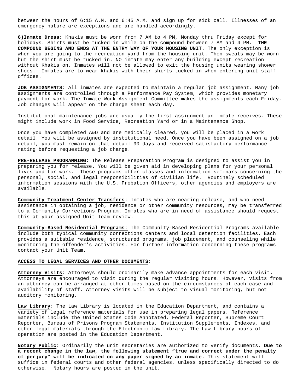between the hours of 6:15 A.M. and 6:45 A.M. and sign up for sick call. Illnesses of an emergency nature are exceptions and are handled accordingly.

**6)Inmate Dress:** Khakis must be worn from 7 AM to 4 PM, Monday thru Friday except for holidays. Shirts must be tucked in while on the compound between 7 AM and 4 PM. **COMPOUND BEGINS AND ENDS AT THE ENTRY WAY OF YOUR HOUSING UNIT.** The only exception is when you are going to the recreation yard from the housing unit. Then sweats may be worn but the shirt must be tucked in. NO inmate may enter any building except recreation without Khakis on. Inmates will not be allowed to exit the housing units wearing shower shoes. Inmates are to wear khakis with their shirts tucked in when entering unit staff offices.

**JOB ASSIGNMENTS:** All inmates are expected to maintain a regular job assignment. Many job assignments are controlled through a Performance Pay System, which provides monetary payment for work. The Inmate Work Assignment Committee makes the assignments each Friday. Job changes will appear on the change sheet each day.

Institutional maintenance jobs are usually the first assignment an inmate receives. These might include work in Food Service, Recreation Yard or in a Maintenance Shop.

Once you have completed A&O and are medically cleared, you will be placed in a work detail. You will be assigned by institutional need. Once you have been assigned on a job detail, you must remain on that detail 90 days and received satisfactory performance rating before requesting a job change.

**PRE-RELEASE PROGRAMMING:** The Release Preparation Program is designed to assist you in preparing you for release. You will be given aid in developing plans for your personal lives and for work. These programs offer classes and information seminars concerning the personal, social, and legal responsibilities of civilian life. Routinely scheduled information sessions with the U.S. Probation Officers, other agencies and employers are available.

**Community Treatment Center Transfers:** Inmates who are nearing release, and who need assistance in obtaining a job, residence or other community resources, may be transferred to a Community Corrections Program. Inmates who are in need of assistance should request this at your assigned Unit Team review.

**Community-Based Residential Programs:** The Community-Based Residential Programs available include both typical community corrections centers and local detention facilities. Each provides a suitable residence, structured programs, job placement, and counseling while monitoring the offender's activities. For further information concerning these programs contact your Unit Team.

# **ACCESS TO LEGAL SERVICES AND OTHER DOCUMENTS:**

**Attorney Visits:** Attorneys should ordinarily make advance appointments for each visit. Attorneys are encouraged to visit during the regular visiting hours. However, visits from an attorney can be arranged at other times based on the circumstances of each case and availability of staff. Attorney visits will be subject to visual monitoring, but not auditory monitoring.

**Law Library:** The Law Library is located in the Education Department, and contains a variety of legal reference materials for use in preparing legal papers. Reference materials include the United States Code Annotated, Federal Reporter, Supreme Court Reporter, Bureau of Prisons Program Statements, Institution Supplements, Indexes, and other legal materials through the Electronic Law Library. The Law Library hours of operation are posted in the Education Department.

**Notary Public:** Ordinarily the unit secretaries are authorized to verify documents. **Due to a recent change in the law, the following statement "true and correct under the penalty of perjury" will be indicated on any paper signed by an inmate.** This statement will suffice in federal courts and other federal agencies, unless specifically directed to do otherwise. Notary hours are posted in the unit.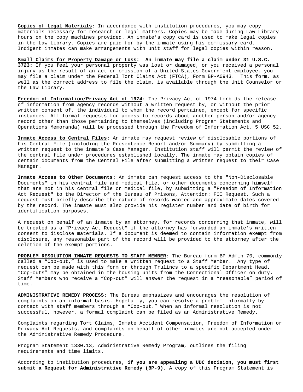**Copies of Legal Materials:** In accordance with institution procedures, you may copy materials necessary for research or legal matters. Copies may be made during Law Library hours on the copy machines provided. An inmate's copy card is used to make legal copies in the Law Library. Copies are paid for by the inmate using his commissary card. Indigent inmates can make arrangements with unit staff for legal copies within reason.

**Small Claims for Property Damage or Loss: An inmate may file a claim under 31 U.S.C. 3723:** If you feel your personal property was lost or damaged, or you received a personal injury as the result of an act or omission of a United States Government employee, you may file a claim under the Federal Tort Claims Act (FTCA), Form BP-A0943. This form, as well as the correct address to file the claim, is available through the Unit Counselor or the Law Library.

**Freedom of Information/Privacy Act of 1974:** The Privacy Act of 1974 forbids the release of information from agency records without a written request by, or without the prior written consent of, the individual to whom the record pertained, except for specific instances. All formal requests for access to records about another person and/or agency record other than those pertaining to themselves (including Program Statements and Operations Memoranda) will be processed through the Freedom of Information Act, 5 USC 52.

**Inmate Access to Central Files:** An inmate may request review of disclosable portions of his Central File (including the Presentence Report and/or Summary) by submitting a written request to the inmate's Case Manager. Institution staff will permit the review of the central file under procedures established locally. The inmate may obtain copies of certain documents from the Central File after submitting a written request to their Case Manager.

**Inmate Access to Other Documents:** An inmate can request access to the "Non-Disclosable Documents" in his central file and medical file, or other documents concerning himself that are not in his central file or medical file, by submitting a "Freedom of Information Act Request" to the Director of the Bureau of Prisons, Attention: FOI Request. Such a request must briefly describe the nature of records wanted and approximate dates covered by the record. The inmate must also provide his register number and date of birth for identification purposes.

A request on behalf of an inmate by an attorney, for records concerning that inmate, will be treated as a "Privacy Act Request" if the attorney has forwarded an inmate's written consent to disclose materials. If a document is deemed to contain information exempt from disclosure, any reasonable part of the record will be provided to the attorney after the deletion of the exempt portions.

**PROBLEM RESOLUTION INMATE REQUESTS TO STAFF MEMBER:** The Bureau form BP-Admin-70, commonly called a "Cop-out," is used to make a written request to a Staff Member. Any type of request can be made with this form or through Trulincs to a specific Department Head. "Cop-outs" may be obtained in the housing units from the Correctional Officer on duty. Staff Members who receive a "Cop-out" will answer the request in a "reasonable" period of time.

**ADMINISTRATIVE REMEDY PROCESS:** The Bureau emphasizes and encourages the resolution of complaints on an informal basis. Hopefully, you can resolve a problem informally by contact with staff members through a "Cop-out." When an informal resolution is not successful, however, a formal complaint can be filed as an Administrative Remedy.

Complaints regarding Tort Claims, Inmate Accident Compensation, Freedom of Information or Privacy Act Requests, and complaints on behalf of other inmates are not accepted under the Administrative Remedy Procedure.

Program Statement 1330.13, Administrative Remedy Program, outlines the filing requirements and time limits.

According to institution procedures, **if you are appealing a UDC decision, you must first submit a Request for Administrative Remedy (BP-9).** A copy of this Program Statement is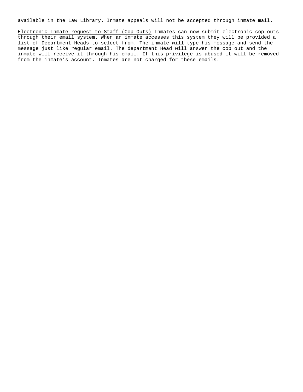available in the Law Library. Inmate appeals will not be accepted through inmate mail.

Electronic Inmate request to Staff (Cop Outs) Inmates can now submit electronic cop outs through their email system. When an inmate accesses this system they will be provided a list of Department Heads to select from. The inmate will type his message and send the message just like regular email. The department Head will answer the cop out and the inmate will receive it through his email. If this privilege is abused it will be removed from the inmate's account. Inmates are not charged for these emails.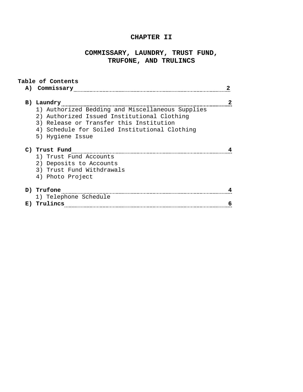# **CHAPTER II**

# **COMMISSARY, LAUNDRY, TRUST FUND, TRUFONE, AND TRULINCS**

| A) | Table of Contents<br>Commissary                                                                 |  |
|----|-------------------------------------------------------------------------------------------------|--|
|    | B) Laundry                                                                                      |  |
|    | 1) Authorized Bedding and Miscellaneous Supplies<br>2) Authorized Issued Institutional Clothing |  |
|    | 3) Release or Transfer this Institution                                                         |  |
|    | 4) Schedule for Soiled Institutional Clothing                                                   |  |
|    | 5) Hygiene Issue                                                                                |  |
|    | C) Trust Fund                                                                                   |  |
|    | 1) Trust Fund Accounts                                                                          |  |
|    | 2) Deposits to Accounts                                                                         |  |
|    | 3) Trust Fund Withdrawals                                                                       |  |
|    | 4) Photo Project                                                                                |  |
|    | D) Trufone                                                                                      |  |
|    | 1) Telephone Schedule                                                                           |  |
| E) | Trulincs                                                                                        |  |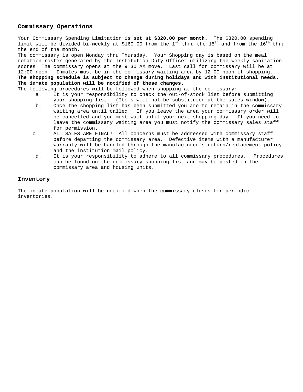# **Commissary Operations**

Your Commissary Spending Limitation is set at **\$320.00 per month.** The \$320.00 spending limit will be divided bi-weekly at \$160.00 from the  $1<sup>st</sup>$  thru the  $15<sup>th</sup>$  and from the  $16<sup>th</sup>$  thru the end of the month.

The commissary is open Monday thru Thursday. Your Shopping day is based on the meal rotation roster generated by the Institution Duty Officer utilizing the weekly sanitation scores. The commissary opens at the 9:30 AM move. Last call for commissary will be at 12:00 noon. Inmates must be in the commissary waiting area by 12:00 noon if shopping. **The shopping schedule is subject to change during holidays and with institutional needs. The inmate population will be notified of these changes.**

The following procedures will be followed when shopping at the commissary:<br>a. It is your responsibility to check the out-of-stock list before

- It is your responsibility to check the out-of-stock list before submitting your shopping list. (Items will not be substituted at the sales window).
- b. Once the shopping list has been submitted you are to remain in the commissary waiting area until called. If you leave the area your commissary order will be cancelled and you must wait until your next shopping day. If you need to leave the commissary waiting area you must notify the commissary sales staff for permission.
- c. ALL SALES ARE FINAL! All concerns must be addressed with commissary staff before departing the commissary area. Defective items with a manufacturer warranty will be handled through the manufacturer's return/replacement policy and the institution mail policy.
- d. It is your responsibility to adhere to all commissary procedures. Procedures can be found on the commissary shopping list and may be posted in the commissary area and housing units.

# **Inventory**

The inmate population will be notified when the commissary closes for periodic inventories.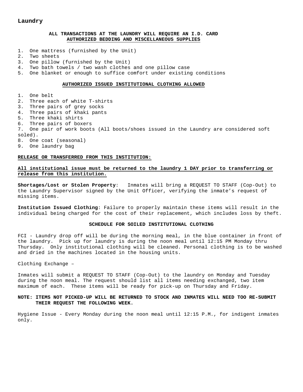# **Laundry**

## **ALL TRANSACTIONS AT THE LAUNDRY WILL REQUIRE AN I.D. CARD AUTHORIZED BEDDING AND MISCELLANEOUS SUPPLIES**

- 1. One mattress (furnished by the Unit)
- 2. Two sheets
- 3. One pillow (furnished by the Unit)
- 4. Two bath towels / two wash clothes and one pillow case
- 5. One blanket or enough to suffice comfort under existing conditions

### **AUTHORIZED ISSUED INSTITUTIONAL CLOTHING ALLOWED**

1. One belt 2. Three each of white T-shirts 3. Three pairs of grey socks 4. Three pairs of khaki pants 5. Three khaki shirts 6. Three pairs of boxers 7. One pair of work boots (All boots/shoes issued in the Laundry are considered soft soled). 8. One coat (seasonal) 9. One laundry bag

## **RELEASE OR TRANSFERRED FROM THIS INSTITUTION:**

# **All institutional issue must be returned to the laundry 1 DAY prior to transferring or release from this institution.**

**Shortages/Lost or Stolen Property**: Inmates will bring a REQUEST TO STAFF (Cop-Out) to the Laundry Supervisor signed by the Unit Officer, verifying the inmate's request of missing items.

**Institution Issued Clothing**: Failure to properly maintain these items will result in the individual being charged for the cost of their replacement, which includes loss by theft.

#### **SCHEDULE FOR SOILED INSTITUTIONAL CLOTHING**

FCI - Laundry drop off will be during the morning meal, in the blue container in front of the laundry. Pick up for laundry is during the noon meal until 12:15 PM Monday thru Thursday. Only institutional clothing will be cleaned. Personal clothing is to be washed and dried in the machines located in the housing units.

Clothing Exchange –

Inmates will submit a REQUEST TO STAFF (Cop-Out) to the laundry on Monday and Tuesday during the noon meal. The request should list all items needing exchanged, two item maximum of each. These items will be ready for pick-up on Thursday and Friday.

# **NOTE: ITEMS NOT PICKED-UP WILL BE RETURNED TO STOCK AND INMATES WILL NEED TOO RE-SUBMIT THEIR REQUEST THE FOLLOWING WEEK.**

Hygiene Issue - Every Monday during the noon meal until 12:15 P.M., for indigent inmates only.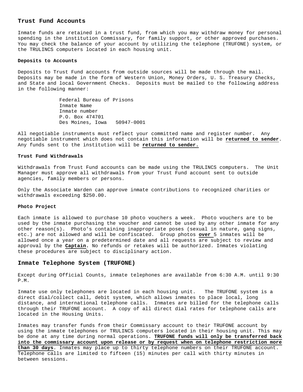## **Trust Fund Accounts**

Inmate funds are retained in a trust fund, from which you may withdraw money for personal spending in the institution Commissary, for family support, or other approved purchases. You may check the balance of your account by utilizing the telephone (TRUFONE) system, or the TRULINCS computers located in each housing unit.

### **Deposits to Accounts**

Deposits to Trust Fund accounts from outside sources will be made through the mail. Deposits may be made in the form of Western Union, Money Orders, U. S. Treasury Checks, and State and local Government Checks. Deposits must be mailed to the following address in the following manner:

> Federal Bureau of Prisons Inmate Name Inmate number P.O. Box 474701 Des Moines, Iowa 50947-0001

All negotiable instruments must reflect your committed name and register number. Any negotiable instrument which does not contain this information will be **returned to sender**. Any funds sent to the institution will be **returned to sender.**

#### **Trust Fund Withdrawals**

Withdrawals from Trust Fund accounts can be made using the TRULINCS computers. The Unit Manager must approve all withdrawals from your Trust Fund account sent to outside agencies, family members or persons.

Only the Associate Warden can approve inmate contributions to recognized charities or withdrawals exceeding \$250.00.

## **Photo Project**

Each inmate is allowed to purchase 10 photo vouchers a week. Photo vouchers are to be used by the inmate purchasing the voucher and cannot be used by any other inmate for any other reason(s). Photo's containing inappropriate poses (sexual in nature, gang signs, etc.) are not allowed and will be confiscated. Group photos **over** 5 inmates will be allowed once a year on a predetermined date and all requests are subject to review and approval by the **Captain.** No refunds or retakes will be authorized. Inmates violating these procedures are subject to disciplinary action.

### **Inmate Telephone System (TRUFONE)**

Except during Official Counts, inmate telephones are available from 6:30 A.M. until 9:30 P.M.

Inmate use only telephones are located in each housing unit. The TRUFONE system is a direct dial/collect call, debit system, which allows inmates to place local, long distance, and international telephone calls. Inmates are billed for the telephone calls through their TRUFONE account. A copy of all direct dial rates for telephone calls are located in the Housing Units.

Inmates may transfer funds from their Commissary account to their TRUFONE account by using the inmate telephones or TRULINCS computers located in their housing unit. This may be done at any time during normal operations. **TRUFONE funds will only be transferred back into the commissary account upon release or by request when on telephone restriction more than 30 days**. Inmates may place up to thirty telephone numbers on their TRUFONE account. Telephone calls are limited to fifteen (15) minutes per call with thirty minutes in between sessions.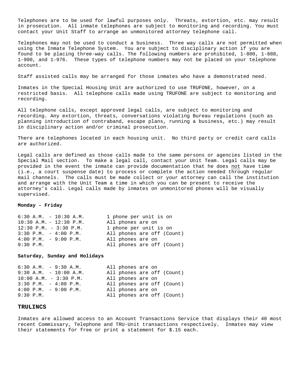Telephones are to be used for lawful purposes only. Threats, extortion, etc. may result in prosecution. All inmate telephones are subject to monitoring and recording. You must contact your Unit Staff to arrange an unmonitored attorney telephone call.

Telephones may not be used to conduct a business. Three way calls are not permitted when using the Inmate Telephone System. You are subject to disciplinary action if you are found to be placing three-way calls. The following numbers are prohibited, 1-800, 1-888, 1-900, and 1-976. These types of telephone numbers may not be placed on your telephone account.

Staff assisted calls may be arranged for those inmates who have a demonstrated need.

Inmates in the Special Housing Unit are authorized to use TRUFONE, however, on a restricted basis. All telephone calls made using TRUFONE are subject to monitoring and recording.

All telephone calls, except approved legal calls, are subject to monitoring and recording. Any extortion, threats, conversations violating Bureau regulations (such as planning introduction of contraband, escape plans, running a business, etc.) may result in disciplinary action and/or criminal prosecution.

There are telephones located in each housing unit. No third party or credit card calls are authorized.

Legal calls are defined as those calls made to the same persons or agencies listed in the Special Mail section. To make a legal call, contact your Unit Team. Legal calls may be provided in the event the inmate can provide documentation that he does not have time (i.e., a court suspense date) to process or complete the action needed through regular mail channels. The calls must be made collect or your attorney can call the institution and arrange with the Unit Team a time in which you can be present to receive the attorney's call. Legal calls made by inmates on unmonitored phones will be visually supervised.

## **Monday - Friday**

| $6:30$ A.M. $-10:30$ A.M.               | 1 phone per unit is on     |
|-----------------------------------------|----------------------------|
| $10:30$ A.M. - $12:30$ P.M.             | All phones are on          |
| $12:30$ P.M. - 3:30 P.M.                | 1 phone per unit is on     |
| $3:30$ P.M. $-4:00$ P.M.                | All phones are off (Count) |
| $4:00 \text{ P.M.} - 9:00 \text{ P.M.}$ | All phones are on          |
| 9:30 P.M.                               | All phones are off (Count) |
|                                         |                            |

## **Saturday, Sunday and Holidays**

|           | $6:30$ A.M. $-9:30$ A.M.                |  |                          | All phones are on |  |                            |
|-----------|-----------------------------------------|--|--------------------------|-------------------|--|----------------------------|
|           |                                         |  | $9:30 A.M. - 10:00 A.M.$ |                   |  | All phones are off (Count) |
|           | $10:00$ A.M. - 3:30 P.M.                |  |                          | All phones are on |  |                            |
|           | $3:30$ P.M. $-4:00$ P.M.                |  |                          |                   |  | All phones are off (Count) |
|           | $4:00 \text{ P.M.} - 9:00 \text{ P.M.}$ |  |                          | All phones are on |  |                            |
| 9:30 P.M. |                                         |  |                          |                   |  | All phones are off (Count) |
|           |                                         |  |                          |                   |  |                            |

### **TRULINCS**

Inmates are allowed access to an Account Transactions Service that displays their 40 most recent Commissary, Telephone and TRU-Unit transactions respectively. Inmates may view their statements for free or print a statement for \$.15 each.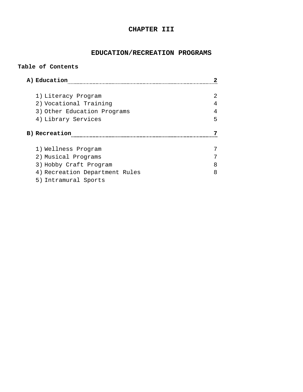# **CHAPTER III**

# **EDUCATION/RECREATION PROGRAMS**

| A) Education                   |   |
|--------------------------------|---|
| 1) Literacy Program            | 2 |
| 2) Vocational Training         | 4 |
| 3) Other Education Programs    | 4 |
| 4) Library Services            | 5 |
|                                |   |
| B) Recreation                  |   |
| 1) Wellness Program            |   |
| 2) Musical Programs            |   |
| 3) Hobby Craft Program         | 8 |
| 4) Recreation Department Rules | 8 |

**Table of Contents**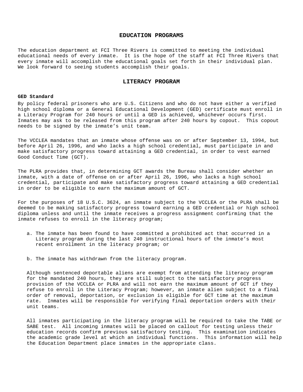# **EDUCATION PROGRAMS**

The education department at FCI Three Rivers is committed to meeting the individual educational needs of every inmate. It is the hope of the staff at FCI Three Rivers that every inmate will accomplish the educational goals set forth in their individual plan. We look forward to seeing students accomplish their goals.

## **LITERACY PROGRAM**

#### **GED Standard**

By policy federal prisoners who are U.S. Citizens and who do not have either a verified high school diploma or a General Educational Development (GED) certificate must enroll in a Literacy Program for 240 hours or until a GED is achieved, whichever occurs first. Inmates may ask to be released from this program after 240 hours by copout. This copout needs to be signed by the inmate's unit team.

The VCCLEA mandates that an inmate whose offense was on or after September 13, 1994, but before April 26, 1996, and who lacks a high school credential, must participate in and make satisfactory progress toward attaining a GED credential, in order to vest earned Good Conduct Time (GCT).

The PLRA provides that, in determining GCT awards the Bureau shall consider whether an inmate, with a date of offense on or after April 26, 1996, who lacks a high school credential, participate and make satisfactory progress toward attaining a GED credential in order to be eligible to earn the maximum amount of GCT.

For the purposes of 18 U.S.C. 3624, an inmate subject to the VCCLEA or the PLRA shall be deemed to be making satisfactory progress toward earning a GED credential or high school diploma unless and until the inmate receives a progress assignment confirming that the inmate refuses to enroll in the literacy program;

- a. The inmate has been found to have committed a prohibited act that occurred in a Literacy program during the last 240 instructional hours of the inmate's most recent enrollment in the literacy program; or
- b. The inmate has withdrawn from the literacy program.

Although sentenced deportable aliens are exempt from attending the literacy program for the mandated 240 hours, they are still subject to the satisfactory progress provision of the VCCLEA or PLRA and will not earn the maximum amount of GCT if they refuse to enroll in the Literacy Program; however, an inmate alien subject to a final order of removal, deportation, or exclusion is eligible for GCT time at the maximum rate. Inmates will be responsible for verifying final deportation orders with their unit teams.

All inmates participating in the literacy program will be required to take the TABE or SABE test. All incoming inmates will be placed on callout for testing unless their education records confirm previous satisfactory testing. This examination indicates the academic grade level at which an individual functions. This information will help the Education Department place inmates in the appropriate class.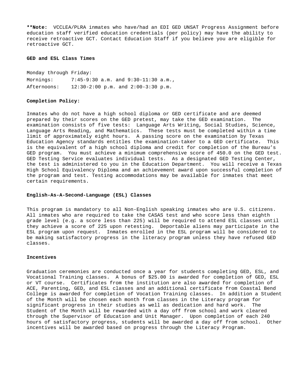**\*\*Note:** VCCLEA/PLRA inmates who have/had an EDI GED UNSAT Progress Assignment before education staff verified education credentials (per policy) may have the ability to receive retroactive GCT. Contact Education Staff if you believe you are eligible for retroactive GCT.

#### **GED and ESL Class Times**

Monday through Friday: Mornings: 7:45-9:30 a.m. and 9:30-11:30 a.m., Afternoons: 12:30-2:00 p.m. and 2:00-3:30 p.m.

# **Completion Policy:**

Inmates who do not have a high school diploma or GED certificate and are deemed prepared by their scores on the GED pretest, may take the GED examination. The examination consists of five tests: Language Arts Writing, Social Studies, Science, Language Arts Reading, and Mathematics. These tests must be completed within a time limit of approximately eight hours. A passing score on the examination by Texas Education Agency standards entitles the examination-taker to a GED certificate. This is the equivalent of a high school diploma and credit for completion of the Bureau's GED program. You must achieve a minimum comprehensive score of 450.0 on the GED test. GED Testing Service evaluates individual tests. As a designated GED Testing Center, the test is administered to you in the Education Department. You will receive a Texas High School Equivalency Diploma and an achievement award upon successful completion of the program and test. Testing accommodations may be available for inmates that meet certain requirements.

### **English-As-A-Second-Language (ESL) Classes**

This program is mandatory to all Non-English speaking inmates who are U.S. citizens. All inmates who are required to take the CASAS test and who score less than eighth grade level (e.g. a score less than 225) will be required to attend ESL classes until they achieve a score of 225 upon retesting. Deportable aliens may participate in the ESL program upon request. Inmates enrolled in the ESL program will be considered to be making satisfactory progress in the literacy program unless they have refused GED classes.

### **Incentives**

Graduation ceremonies are conducted once a year for students completing GED, ESL, and Vocational Training classes. A bonus of \$25.00 is awarded for completion of GED, ESL or VT course. Certificates from the institution are also awarded for completion of ACE, Parenting, GED, and ESL classes and an additional certificate from Coastal Bend College is awarded for completion of Vocation Training classes. In addition a Student of the Month will be chosen each month from classes in the Literacy program for significant progress in their studies as well as dedication and hard work. The Student of the Month will be rewarded with a day off from school and work cleared through the Supervisor of Education and Unit Manager. Upon completion of each 240 hours of satisfactory progress, students will be awarded a day off from school. Other incentives will be awarded based on progress through the Literacy Program.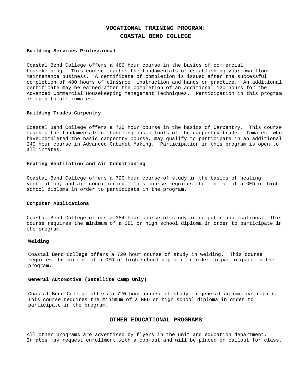# **VOCATIONAL TRAINING PROGRAM:**

# **COASTAL BEND COLLEGE**

## **Building Services Professional**

Coastal Bend College offers a 480 hour course in the basics of commercial housekeeping. This course teaches the fundamentals of establishing your own floor maintenance business. A certificate of completion is issued after the successful completion of 480 hours of classroom instruction and hands on practice. An additional certificate may be earned after the completion of an additional 120 hours for the Advanced Commercial Housekeeping Management Techniques. Participation in this program is open to all inmates.

## **Building Trades Carpentry**

Coastal Bend College offers a 720 hour course in the basics of Carpentry. This course teaches the fundamentals of handling basic tools of the carpentry trade. Inmates, who have completed the basic carpentry course, may qualify to participate in an additional 240 hour course in Advanced Cabinet Making. Participation in this program is open to all inmates.

## **Heating Ventilation and Air Conditioning**

Coastal Bend College offers a 720 hour course of study in the basics of heating, ventilation, and air conditioning. This course requires the minimum of a GED or high school diploma in order to participate in the program.

## **Computer Applications**

Coastal Bend College offers a 384 hour course of study in computer applications. This course requires the minimum of a GED or high school diploma in order to participate in the program.

# **Welding**

Coastal Bend College offers a 720 hour course of study in welding. This course requires the minimum of a GED or high school diploma in order to participate in the program.

## **General Automotive (Satellite Camp Only)**

Coastal Bend College offers a 720 hour course of study in general automotive repair. This course requires the minimum of a GED or high school diploma in order to participate in the program.

# **OTHER EDUCATIONAL PROGRAMS**

All other programs are advertised by flyers in the unit and education department. Inmates may request enrollment with a cop-out and will be placed on callout for class.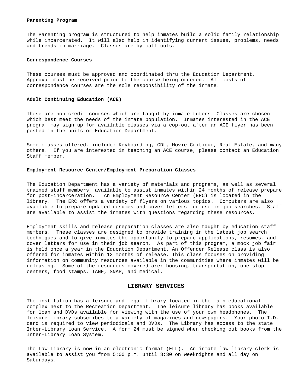#### **Parenting Program**

The Parenting program is structured to help inmates build a solid family relationship while incarcerated. It will also help in identifying current issues, problems, needs and trends in marriage. Classes are by call-outs.

#### **Correspondence Courses**

These courses must be approved and coordinated thru the Education Department. Approval must be received prior to the course being ordered. All costs of correspondence courses are the sole responsibility of the inmate.

### **Adult Continuing Education (ACE)**

These are non-credit courses which are taught by inmate tutors. Classes are chosen which best meet the needs of the inmate population. Inmates interested in the ACE program may sign up for available classes via a cop-out after an ACE flyer has been posted in the units or Education Department.

Some classes offered, include: Keyboarding, CDL, Movie Critique, Real Estate, and many others. If you are interested in teaching an ACE course, please contact an Education Staff member.

### **Employment Resource Center/Employment Preparation Classes**

The Education Department has a variety of materials and programs, as well as several trained staff members, available to assist inmates within 24 months of release prepare for post-incarceration. An Employment Resource Center (ERC) is located in the library. The ERC offers a variety of flyers on various topics. Computers are also available to prepare updated resumes and cover letters for use in job searches. Staff are available to assist the inmates with questions regarding these resources.

Employment skills and release preparation classes are also taught by education staff members. These classes are designed to provide training in the latest job search techniques and to give inmates the opportunity to prepare applications, resumes, and cover letters for use in their job search. As part of this program, a mock job fair is held once a year in the Education Department. An Offender Release class is also offered for inmates within 12 months of release. This class focuses on providing information on community resources available in the communities where inmates will be releasing. Some of the resources covered are: housing, transportation, one-stop centers, food stamps, TANF, SNAP, and medical.

## **LIBRARY SERVICES**

The institution has a leisure and legal library located in the main educational complex next to the Recreation Department. The leisure library has books available for loan and DVDs available for viewing with the use of your own headphones. The leisure library subscribes to a variety of magazines and newspapers. Your photo I.D. card is required to view periodicals and DVDs. The Library has access to the state Inter-Library Loan Service. A form 24 must be signed when checking out books from the Inter-Library Loan System.

The Law Library is now in an electronic format (ELL). An inmate law library clerk is available to assist you from 5:00 p.m. until 8:30 on weeknights and all day on Saturdays.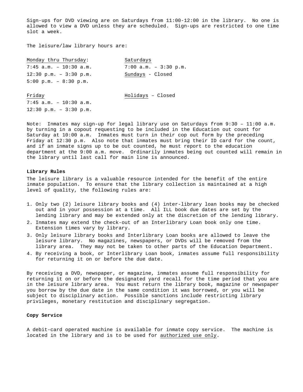Sign-ups for DVD viewing are on Saturdays from 11:00-12:00 in the library. No one is allowed to view a DVD unless they are scheduled. Sign-ups are restricted to one time slot a week.

The leisure/law library hours are:

| Monday thru Thursday:                    | Saturdays                 |
|------------------------------------------|---------------------------|
| $7:45$ a.m. - 10:30 a.m.                 | $7:00$ a.m. - $3:30$ p.m. |
| $12:30 \text{ p.m.} - 3:30 \text{ p.m.}$ | Sundays - Closed          |
| $5:00 \text{ p.m.} - 8:30 \text{ p.m.}$  |                           |
|                                          |                           |
| Friday                                   | Holidays - Closed         |
| $7:45$ a.m. - 10:30 a.m.                 |                           |
| $12:30 \text{ p.m.} - 3:30 \text{ p.m.}$ |                           |
|                                          |                           |

Note: Inmates may sign-up for legal library use on Saturdays from 9:30 – 11:00 a.m. by turning in a copout requesting to be included in the Education out count for Saturday at 10:00 a.m. Inmates must turn in their cop out form by the preceding Friday at 12:30 p.m. Also note that inmates must bring their ID card for the count, and if an inmate signs up to be out counted, he must report to the education department at the 9:00 a.m. move. Ordinarily inmates being out counted will remain in the library until last call for main line is announced.

## **Library Rules**

The leisure library is a valuable resource intended for the benefit of the entire inmate population. To ensure that the library collection is maintained at a high level of quality, the following rules are:

- 1. Only two (2) leisure library books and (4) inter-library loan books may be checked out and in your possession at a time. All ILL book due dates are set by the lending library and may be extended only at the discretion of the lending library.
- 2. Inmates may extend the check-out of an Interlibrary Loan book only one time. Extension times vary by library.
- 3. Only leisure library books and Interlibrary Loan books are allowed to leave the leisure library. No magazines, newspapers, or DVDs will be removed from the library area. They may not be taken to other parts of the Education Department.
- 4. By receiving a book, or Interlibrary Loan book, inmates assume full responsibility for returning it on or before the due date.

By receiving a DVD, newspaper, or magazine, inmates assume full responsibility for returning it on or before the designated yard recall for the time period that you are in the leisure library area. You must return the library book, magazine or newspaper you borrow by the due date in the same condition it was borrowed, or you will be subject to disciplinary action. Possible sanctions include restricting library privileges, monetary restitution and disciplinary segregation.

# **Copy Service**

A debit-card operated machine is available for inmate copy service. The machine is located in the library and is to be used for authorized use only.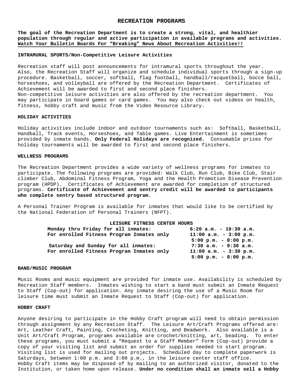### **RECREATION PROGRAMS**

**The goal of the Recreation Department is to create a strong, vital, and healthier population through regular and active participation in available programs and activities. Watch Your Bulletin Boards For "Breaking" News About Recreation Activities!!**

### **INTRAMURAL SPORTS/Non-Competitive Leisure Activities**

Recreation staff will post announcements for intramural sports throughout the year. Also, the Recreation Staff will organize and schedule individual sports through a sign-up procedure. Basketball, soccer, softball, flag football, handball/racquetball, bocce ball, horseshoes, and volleyball are offered by the Recreation Department. Certificates of Achievement will be awarded to first and second place finishers. Non-competitive leisure activities are also offered by the recreation department. You may participate in board games or card games. You may also check out videos on health, fitness, hobby craft and music from the Video Resource Library.

### **HOLIDAY ACTIVITIES**

Holiday activities include indoor and outdoor tournaments such as: Softball, Basketball, Handball, Track events, Horseshoes, and Table games. Live Entertainment is sometimes provided by inmate bands. **Only Federal Holidays are recognized.** Consumable prizes for holiday tournaments will be awarded to first and second place finishers.

#### **WELLNESS PROGRAMS**

The Recreation Department provides a wide variety of wellness programs for inmates to participate. The following programs are provided: Walk Club, Run Club, Bike Club, Stair climber Club, Abdominal Fitness Program, Yoga and the Health Promotion Disease Prevention program (HPDP). Certificates of Achievement are awarded for completion of structured programs. **Certificate of Achievement and sentry credit will be awarded to participants who complete sentry based structured program.** 

A Personal Trainer Program is available for inmates that would like to be certified by the National Federation of Personal Trainers (NFPT).

| LEISURE FITNESS CENTER HOURS              |                                         |
|-------------------------------------------|-----------------------------------------|
| Monday thru Friday for all inmates:       | $6:20$ a.m. - 10:30 a.m.                |
| For enrolled Fitness Program Inmates only | $11:00$ a.m. - 3:00 p.m.                |
|                                           | $5:00$ p.m. - 8:00 p.m.                 |
| Saturday and Sunday for all inmates:      | $7:30$ a.m. - 9:30 a.m.                 |
| For enrolled Fitness Program Inmates only | $11:00$ a.m. - 3:30 p.m.                |
|                                           | $5:00 \text{ p.m.} - 8:00 \text{ p.m.}$ |

#### **BAND/MUSIC PROGRAM**

Music Rooms and music equipment are provided for inmate use. Availability is scheduled by Recreation Staff members. Inmates wishing to start a band must submit an Inmate Request to Staff (Cop-out) for application. Any inmate desiring the use of a Music Room for leisure time must submit an Inmate Request to Staff (Cop-out) for application.

### **HOBBY CRAFT**

Anyone desiring to participate in the Hobby Craft program will need to obtain permission through assignment by any Recreation Staff. The Leisure Art/Craft Programs offered are: Art, Leather Craft, Painting, Crocheting, Knitting, and Beadwork. Also available is a Unit Art/Craft Program, programs available are crochet/knitting, art, beading. To enter these programs, you must submit a "Request to a Staff Member" Form (Cop-out) provide a copy of your visiting list and submit an order for supplies needed to start program. Visiting list is used for mailing out projects. Scheduled day to complete paperwork is Saturdays, between 1:00 p.m. and 3:00 p.m., in the leisure center staff office. Hobby Craft items may be disposed of by mailing to an authorized visitor, donated to the Institution, or taken home upon release. **Under no condition shall an inmate sell a Hobby**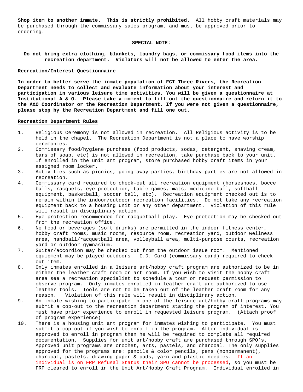**Shop item to another inmate. This is strictly prohibited.** All hobby craft materials may be purchased through the commissary sales program, and must be approved prior to ordering.

### **SPECIAL NOTE:**

**Do not bring extra clothing, blankets, laundry bags, or commissary food items into the recreation department. Violators will not be allowed to enter the area.**

## **Recreation/Interest Questionnaire**

**In order to better serve the inmate population of FCI Three Rivers, the Recreation Department needs to collect and evaluate information about your interest and participation in various leisure time activities. You will be given a questionnaire at Institutional A & O. Please take a moment to fill out the questionnaire and return it to the A&O Coordinator or the Recreation Department. If you were not given a questionnaire, please stop by the Recreation Department and fill one out.**

## **Recreation Department Rules**

- 1. Religious Ceremony is not allowed in recreation. All Religious activity is to be held in the chapel. The Recreation Department is not a place to have worship ceremonies.
- 2. Commissary food/hygiene purchase (food products, sodas, detergent, shaving cream, bars of soap, etc) is not allowed in recreation, take purchase back to your unit. If enrolled in the unit art program, store purchased hobby craft items in your assigned room locker.
- 3. Activities such as picnics, going away parties, birthday parties are not allowed in recreation.
- 4. Commissary card required to check-out all recreation equipment (horseshoes, bocce balls, racquets, eye protection, table games, mats, medicine ball, softball equipment, basketball, soccer ball, etc). Recreation equipment checked out is to remain within the indoor/outdoor recreation facilities. Do not take any recreation equipment back to a housing unit or any other department. Violation of this rule will result in disciplinary action.
- 5. Eye protection recommended for racquetball play. Eye protection may be checked out from the recreation office.
- 6. No food or beverages (soft drinks) are permitted in the indoor fitness center, hobby craft rooms, music rooms, resource room, recreation yard, outdoor wellness area, handball/racquetball area, volleyball area, multi-purpose courts, recreation yard or outdoor gymnasium.
- 7. Guitar/accordion may be checked out from the outdoor issue room. Mentioned equipment may be played outdoors. I.D. Card (commissary card) required to checkout item.
- 8. Only inmates enrolled in a leisure art/hobby craft program are authorized to be in either the leather craft room or art room. If you wish to visit the hobby craft area see a recreation specialist to schedule a tour or request permission to observe program. Only inmates enrolled in leather craft are authorized to use leather tools. Tools are not to be taken out of the leather craft room for any reason. Violation of this rule will result in disciplinary action.
- 9. An inmate wishing to participate in one of the leisure art/hobby craft programs may submit a cop-out to the recreation department stating the program of interest. You must have prior experience to enroll in requested leisure program. (Attach proof of program experience)
- 10. There is a housing unit art program for inmates wishing to participate. You must submit a cop-out if you wish to enroll in the program. After individual is approved to enroll in program then he will be required to complete all required documentation. Supplies for unit art/hobby craft are purchased through SPO's. Approved unit programs are crochet, arts, pastels, and charcoal. The only supplies approved for the programs are: pencils & color pencils, pens (nonpermanent), charcoal, pastels, drawing paper & pads, yarn and plastic needles. If an individual is on FRP Refusal Status their SPO cannot be processed, so you must be FRP cleared to enroll in the Unit Art/Hobby Craft Program. Individual enrolled in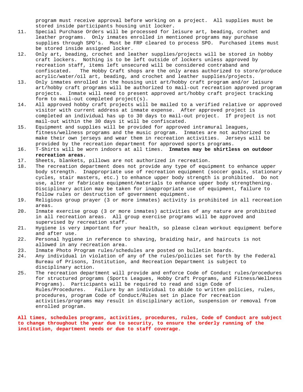program must receive approval before working on a project. All supplies must be stored inside participants housing unit locker.

- 11. Special Purchase Orders will be processed for leisure art, beading, crochet and leather programs. Only inmates enrolled in mentioned programs may purchase supplies through SPO's. Must be FRP cleared to process SPO. Purchased items must be stored inside assigned locker.
- 12. Only art, beading, crochet and leather supplies/projects will be stored in hobby craft lockers. Nothing is to be left outside of lockers unless approved by recreation staff, items left unsecured will be considered contraband and<br>confiscated. The Hobby Craft shops are the only areas authorized to sto The Hobby Craft shops are the only areas authorized to store/produce acrylic/water/oil art, beading, and crochet and leather supplies/projects.
- 13. Only inmates enrolled in the housing unit art/hobby craft program and/or leisure art/hobby craft programs will be authorized to mail-out recreation approved program projects. Inmate will need to present approved art/hobby craft project tracking form to mail-out completed project(s).
- 14. All approved hobby craft projects will be mailed to a verified relative or approved visitor with current address at inmate expense. After approved project is completed an individual has up to 30 days to mail-out project. If project is not mail-out within the 30 days it will be confiscated.
- 15. Equipment and supplies will be provided for approved intramural leagues, fitness/wellness programs and the music program. Inmates are not authorized to make their own jerseys and wear them in recreation activities. Jerseys will be provided by the recreation department for approved sports programs.
- 16. T-Shirts will be worn indoors at all times. **Inmates may be shirtless on outdoor recreation areas.**
- 17. Sheets, blankets, pillows are not authorized in recreation.<br>18. The recreation department does not provide any type of equi
- The recreation department does not provide any type of equipment to enhance upper body strength. Inappropriate use of recreation equipment (soccer goals, stationary cycles, stair masters, etc.) to enhance upper body strength is prohibited. Do not use, alter or fabricate equipment/materials to enhance upper body strengthening. Disciplinary action may be taken for inappropriate use of equipment, failure to follow rules or destruction of government equipment.
- 19. Religious group prayer (3 or more inmates) activity is prohibited in all recreation areas.
- 20. Inmate exercise group (3 or more inmates) activities of any nature are prohibited in all recreation areas. All group exercise programs will be approved and supervised by recreation staff.
- 21. Hygiene is very important for your health, so please clean workout equipment before and after use.
- 22. Personal hygiene in reference to shaving, braiding hair, and haircuts is not allowed in any recreation area.
- 23. Inmate Photo Program rules/schedules are posted on bulletin boards.<br>24. Any individual in violation of any of the rules/policies set forth
- Any individual in violation of any of the rules/policies set forth by the Federal Bureau of Prisons, Institution, and Recreation Department is subject to disciplinary action.
- 25. The recreation department will provide and enforce Code of Conduct rules/procedures for structured programs (Sports Leagues, Hobby Craft Programs, and Fitness/Wellness Programs). Participants will be required to read and sign Code of Rules/Procedures. Failure by an individual to abide to written policies, rules, procedures, program Code of Conduct/Rules set in place for recreation activities/programs may result in disciplinary action, suspension or removal from enrolled program.

# **All times, schedules programs, activities, procedures, rules, Code of Conduct are subject to change throughout the year due to security, to ensure the orderly running of the institution, department needs or due to staff coverage.**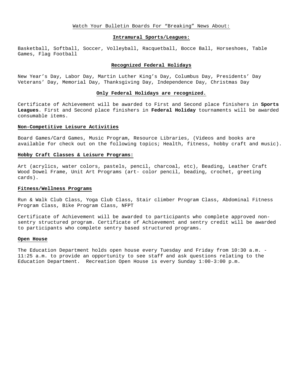## Watch Your Bulletin Boards For "Breaking" News About:

### **Intramural Sports/Leagues:**

Basketball, Softball, Soccer, Volleyball, Racquetball, Bocce Ball, Horseshoes, Table Games, Flag Football

## **Recognized Federal Holidays**

New Year's Day, Labor Day, Martin Luther King's Day, Columbus Day, Presidents' Day Veterans' Day, Memorial Day, Thanksgiving Day, Independence Day, Christmas Day

## **Only Federal Holidays are recognized.**

Certificate of Achievement will be awarded to First and Second place finishers in **Sports Leagues**. First and Second place finishers in **Federal Holiday** tournaments will be awarded consumable items.

### **Non-Competitive Leisure Activities**

Board Games/Card Games, Music Program, Resource Libraries, (Videos and books are available for check out on the following topics; Health, fitness, hobby craft and music).

## **Hobby Craft Classes & Leisure Programs:**

Art (acrylics, water colors, pastels, pencil, charcoal, etc), Beading, Leather Craft Wood Dowel Frame, Unit Art Programs (art- color pencil, beading, crochet, greeting cards).

#### **Fitness/Wellness Programs**

Run & Walk Club Class, Yoga Club Class, Stair climber Program Class, Abdominal Fitness Program Class, Bike Program Class, NFPT

Certificate of Achievement will be awarded to participants who complete approved nonsentry structured program. Certificate of Achievement and sentry credit will be awarded to participants who complete sentry based structured programs.

## **Open House**

The Education Department holds open house every Tuesday and Friday from 10:30 a.m. - 11:25 a.m. to provide an opportunity to see staff and ask questions relating to the Education Department. Recreation Open House is every Sunday 1:00-3:00 p.m.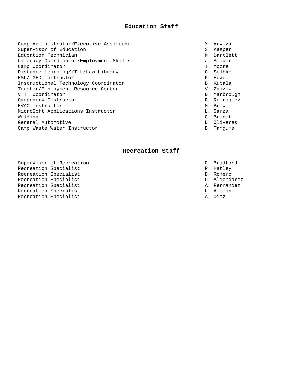# **Education Staff**

Camp Administrator/Executive Assistant<br>
Supervisor of Education<br>
S. Kasper Supervisor of Education Supervisor of Education S. Kasper<br>Education Technician Supervisor S. Kasper M. Bartlett Education Technician<br>
Literacy Coordinator/Employment Skills<br>
J. Amador Literacy Coordinator/Employment Skills<br>Camp Coordinator Camp Coordinator J. Moore Camp Coordinator (Camp Coordinator T. Moore<br>Distance Learning//ILL/Law Library (C. Selhke Distance Learning//ILL/Law Library entitled and the control of Selhke ESL/ GED Instructor ESL/ GED Instructor <br>Instructional Technology Coordinator Marinesota (S. Kubala Instructional Technology Coordinator and the content of the B. Kubala<br>Teacher/Employment Resource Center and B. Zamzow Teacher/Employment Resource Center V. Zamzow V.T. Coordinator D. Yarbrough Carpentry Instructor and the control of the control of the R. Rodriguez<br>
R. Rodriguez<br>
R. Rown HVAC Instructor<br>MicroSoft Applications Instructor and Marshall M. Brown MicroSoft Applications Instructor and the control of the L. Garza<br>Welding G. Brandt Welding G. Brandt General Automotive<br>
Camp Waste Water Instructor<br>
Camp Waste Water Instructor Camp Waste Water Instructor

- 
- 
- 
- 
- 
- 
- 
- 
- 
- 
- 
- 
- 
- 
- 

# **Recreation Staff**

- Supervisor of Recreation<br>
Recreation Specialist<br>
R. Hatley Recreation Specialist<br>Recreation Specialist<br>Recreation Specialist Recreation Specialist<br>Recreation Specialist<br>Recreation Specialist Recreation Specialist<br>Recreation Specialist C. Almendarez<br>Recreation Specialist Recreation Specialist<br>Recreation Specialist<br>Recreation Specialist Recreation Specialist<br>Recreation Specialist<br>Recreation Specialist Recreation Specialist
	-
	-
	-
	-
	-
	-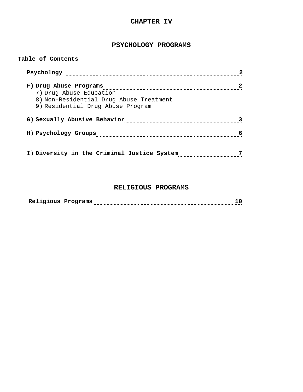# **CHAPTER IV**

# **PSYCHOLOGY PROGRAMS**

# **Table of Contents**

| Psychology                                  |   |
|---------------------------------------------|---|
| F) Drug Abuse Programs                      |   |
| 7) Drug Abuse Education                     |   |
| 8) Non-Residential Drug Abuse Treatment     |   |
| 9) Residential Drug Abuse Program           |   |
| G) Sexually Abusive Behavior                |   |
| H) Psychology Groups                        |   |
|                                             |   |
| I) Diversity in the Criminal Justice System | - |

# **RELIGIOUS PROGRAMS**

| . Programs<br>KATTATOMP |  |  |
|-------------------------|--|--|
|-------------------------|--|--|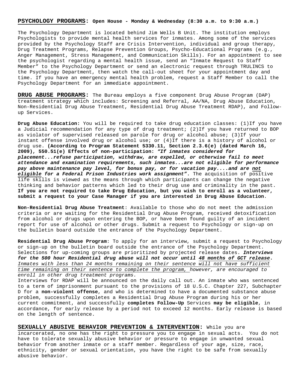## **PSYCHOLOGY PROGRAMS: Open House - Monday & Wednesday (8:30 a.m. to 9:30 a.m.)**

The Psychology Department is located behind Jim Wells B Unit. The institution employs Psychologists to provide mental health services for inmates. Among some of the services provided by the Psychology Staff are Crisis Intervention, individual and group therapy, Drug Treatment Programs, Relapse Prevention Groups, Psycho-Educational Programs (e.g., Anger Management, Stress Management, and Communication Skills). For an appointment to see the psychologist regarding a mental health issue, send an "Inmate Request to Staff Member" to the Psychology Department or send an electronic request through TRULINCS to the Psychology Department, then watch the call-out sheet for your appointment day and time. If you have an emergency mental health problem, request a Staff Member to call the Psychology Department for an immediate appointment.

**DRUG ABUSE PROGRAMS:** The Bureau employs a five component Drug Abuse Program (DAP) treatment strategy which includes: Screening and Referral, AA/NA, Drug Abuse Education, Non-Residential Drug Abuse Treatment, Residential Drug Abuse Treatment RDAP), and Followup Services.

**Drug Abuse Education:** You will be required to take drug education classes: (1)If you have a Judicial recommendation for any type of drug treatment; (2)If you have returned to BOP as violator of supervised released on parole for drug or alcohol abuse; (3)If your instant offense involved drug or alcohol use; or (4)If there is a history of alcohol or drug use. **(According to Program Statement 5330.11, Section 2.3.6(e) (dated March 16, 2009), 550.51(e) Effects of non-participation:** *"If inmates considered for placement...refuse participation, withdraw, are expelled, or otherwise fail to meet attendance and examination requirements, such inmates...are not eligible for performance pay above maintenance pay level, for bonus pay, or for vacation pay....and are not eligible for a Federal Prison Industries work assignment"***.** The acquisition of positive life skills is viewed as the means through which participants can change the negative thinking and behavior patterns which led to their drug use and criminality in the past. **If you are not required to take Drug Education, but you wish to enroll as a volunteer, submit a request to your Case Manager if you are interested in Drug Abuse Education**.

**Non-Residential Drug Abuse Treatment**: Available to those who do not meet the admission criteria or are waiting for the Residential Drug Abuse Program, received detoxification from alcohol or drugs upon entering the BOP, or have been found guilty of an incident report for use of alcohol or other drugs. Submit a request to Psychology or sign-up on the bulletin board outside the entrance of the Psychology Department.

**Residential Drug Abuse Program**: To apply for an interview, submit a request to Psychology or sign-up on the bulletin board outside the entrance of the Psychology Department. Selections for up-coming groups are prioritized by projected release dates. *Interviews for the 500 hour Residential drug abuse will not occur until 48 months of GCT release***.** *Inmates with less than 24 months remaining on their sentence will not have sufficient time remaining on their sentence to complete the program, however, are encouraged to enroll in other drug treatment programs.* 

Interviews for RDAP will be announced on the daily call out. An inmate who was sentenced to a term of imprisonment pursuant to the provisions of 18 U.S.C. Chapter 227, Subchapter D for a **non-violent offense**, and who is determined to have a documented substance abuse problem, successfully completes a Residential Drug Abuse Program during his or her current commitment, and successfully **completes Follow-Up** Services **may be eligible**, in accordance, for early release by a period not to exceed 12 months. Early release is based on the length of sentence.

**SEXUALLY ABUSIVE BEHAVIOR PREVENTION & INTERVENTION:** While you are incarcerated, no one has the right to pressure you to engage in sexual acts. You do not have to tolerate sexually abusive behavior or pressure to engage in unwanted sexual behavior from another inmate or a staff member. Regardless of your age, size, race, ethnicity, gender or sexual orientation, you have the right to be safe from sexually abusive behavior.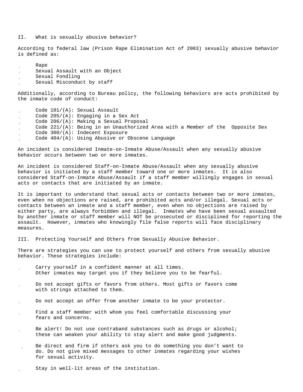II. What is sexually abusive behavior?

According to federal law (Prison Rape Elimination Act of 2003) sexually abusive behavior is defined as:

Rape

- Sexual Assault with an Object
- Sexual Fondling
- Sexual Misconduct by staff

Additionally, according to Bureau policy, the following behaviors are acts prohibited by the inmate code of conduct:

 Code 101/(A): Sexual Assault Code 205/(A): Engaging in a Sex Act Code 206/(A): Making a Sexual Proposal Code 221/(A): Being in an Unauthorized Area with a Member of the Opposite Sex Code 300/(A): Indecent Exposure Code 404/(A): Using Abusive or Obscene Language

An incident is considered Inmate-on-Inmate Abuse/Assault when any sexually abusive behavior occurs between two or more inmates.

An incident is considered Staff-on-Inmate Abuse/Assault when any sexually abusive behavior is initiated by a staff member toward one or more inmates. It is also considered Staff-on-Inmate Abuse/Assault if a staff member willingly engages in sexual acts or contacts that are initiated by an inmate.

It is important to understand that sexual acts or contacts between two or more inmates, even when no objections are raised, are prohibited acts and/or illegal. Sexual acts or contacts between an inmate and a staff member, even when no objections are raised by either party, are always forbidden and illegal. Inmates who have been sexual assaulted by another inmate or staff member will NOT be prosecuted or disciplined for reporting the assault. However, inmates who knowingly file false reports will face disciplinary measures.

III. Protecting Yourself and Others from Sexually Abusive Behavior.

There are strategies you can use to protect yourself and others from sexually abusive behavior. These strategies include:

- Carry yourself in a confident manner at all times. Other inmates may target you if they believe you to be fearful.
- Do not accept gifts or favors from others. Most gifts or favors come with strings attached to them.
- Do not accept an offer from another inmate to be your protector.
- Find a staff member with whom you feel comfortable discussing your fears and concerns.
- Be alert! Do not use contraband substances such as drugs or alcohol; these can weaken your ability to stay alert and make good judgments.
- Be direct and firm if others ask you to do something you don't want to do. Do not give mixed messages to other inmates regarding your wishes for sexual activity.
	- Stay in well-lit areas of the institution.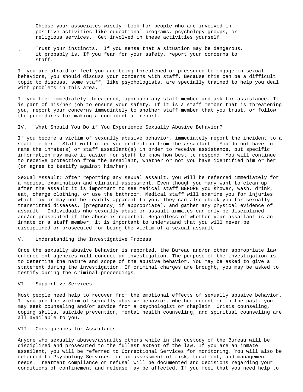- Choose your associates wisely. Look for people who are involved in positive activities like educational programs, psychology groups, or religious services. Get involved in these activities yourself.
	- Trust your instincts. If you sense that a situation may be dangerous, it probably is. If you fear for your safety, report your concerns to staff.

If you are afraid or feel you are being threatened or pressured to engage in sexual behaviors, you should discuss your concerns with staff. Because this can be a difficult topic to discuss, some staff, like psychologists, are specially trained to help you deal with problems in this area.

If you feel immediately threatened, approach any staff member and ask for assistance. It is part of his/her job to ensure your safety. If it is a staff member that is threatening you, report your concerns immediately to another staff member that you trust, or follow the procedures for making a confidential report.

IV. What Should You Do if You Experience Sexually Abusive Behavior?

If you become a victim of sexually abusive behavior, immediately report the incident to a staff member. Staff will offer you protection from the assailant. You do not have to name the inmate(s) or staff assailant(s) in order to receive assistance, but specific information may make it easier for staff to know how best to respond. You will continue to receive protection from the assailant, whether or not you have identified him or her (or agree to testify against him/her).

Sexual Assault: After reporting any sexual assault, you will be referred immediately for a medical examination and clinical assessment. Even though you many want to clean up after the assault it is important to see medical staff BEFORE you shower, wash, drink, eat, change clothing, or use the bathroom. Medical staff will examine you for injuries which may or may not be readily apparent to you. They can also check you for sexually transmitted diseases, [pregnancy, if appropriate], and gather any physical evidence of assault. Individuals who sexually abuse or assault inmates can only be disciplined and/or prosecuted if the abuse is reported. Regardless of whether your assailant is an inmate or a staff member, it is important to understand that you will never be disciplined or prosecuted for being the victim of a sexual assault.

V. Understanding the Investigative Process

Once the sexually abusive behavior is reported, the Bureau and/or other appropriate law enforcement agencies will conduct an investigation. The purpose of the investigation is to determine the nature and scope of the abusive behavior. You may be asked to give a statement during the investigation. If criminal charges are brought, you may be asked to testify during the criminal proceedings.

# VI. Supportive Services

Most people need help to recover from the emotional effects of sexually abusive behavior. If you are the victim of sexually abusive behavior, whether recent or in the past, you may seek counseling and/or advice from a psychologist or chaplain. Crisis counseling, coping skills, suicide prevention, mental health counseling, and spiritual counseling are all available to you.

### VII. Consequences for Assailants

Anyone who sexually abuses/assaults others while in the custody of the Bureau will be disciplined and prosecuted to the fullest extent of the law. If you are an inmate assailant, you will be referred to Correctional Services for monitoring. You will also be referred to Psychology Services for an assessment of risk, treatment, and management needs. Treatment compliance or refusal will be documented and decisions regarding your conditions of confinement and release may be affected. If you feel that you need help to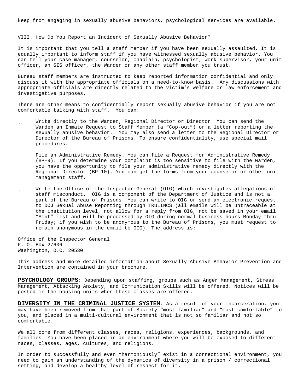keep from engaging in sexually abusive behaviors, psychological services are available.

VIII. How Do You Report an Incident of Sexually Abusive Behavior?

It is important that you tell a staff member if you have been sexually assaulted. It is equally important to inform staff if you have witnessed sexually abusive behavior. You can tell your case manager, counselor, chaplain, psychologist, work supervisor, your unit officer, an SIS officer, the Warden or any other staff member you trust.

Bureau staff members are instructed to keep reported information confidential and only discuss it with the appropriate officials on a need-to-know basis. Any discussions with appropriate officials are directly related to the victim's welfare or law enforcement and investigative purposes.

There are other means to confidentially report sexually abusive behavior if you are not comfortable talking with staff. You can:

- Write directly to the Warden, Regional Director or Director. You can send the Warden an Inmate Request to Staff Member (a "Cop-out") or a letter reporting the sexually abusive behavior. You may also send a letter to the Regional Director or Director of the Bureau of Prisons. To ensure confidentiality, use special mail procedures.
- File an Administrative Remedy. You can file a Request for Administrative Remedy (BP-9). If you determine your complaint is too sensitive to file with the Warden, you have the opportunity to file your administrative remedy directly with the Regional Director (BP-10). You can get the forms from your counselor or other unit management staff.
- Write the Office of the Inspector General (OIG) which investigates allegations of staff misconduct. OIG is a component of the Department of Justice and is not a part of the Bureau of Prisons. You can write to OIG or send an electronic request to DOJ Sexual Abuse Reporting through TRULINCS (all emails will be untraceable at the institution level, not allow for a reply from OIG, not be saved in your email "Sent" list and will be processed by OIG during normal business hours Monday thru Friday; if you wish to be anonymous to the Bureau of Prisons, you must request to remain anonymous in the email to OIG). The address is:

Office of the Inspector General P. O. Box 27606 Washington, D.C. 20530

This address and more detailed information about Sexually Abusive Behavior Prevention and Intervention are contained in your brochure.

**PSYCHOLOGY GROUPS:** Depending upon staffing, groups such as Anger Management, Stress Management, Attacking Anxiety, and Communication Skills will be offered. Notices will be posted in the housing units when these classes are offered.

**DIVERSITY IN THE CRIMINAL JUSTICE SYSTEM:** As a result of your incarceration, you may have been removed from that part of Society "most familiar" and "most comfortable" to you, and placed in a multi-cultural environment that is not so familiar and not so comfortable.

We all come from different classes, races, religions, experiences, backgrounds, and families. You have been placed in an environment where you will be exposed to different races, classes, ages, cultures, and religions.

In order to successfully and even "harmoniously" exist in a correctional environment, you need to gain an understanding of the dynamics of diversity in a prison / correctional setting, and develop a healthy level of respect for it.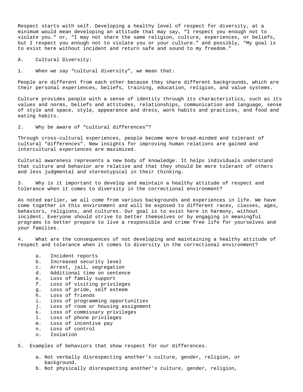Respect starts with self. Developing a healthy level of respect for diversity, at a minimum would mean developing an attitude that may say, "I respect you enough not to violate you." or, "I may not share the same religion, culture, experiences, or beliefs, but I respect you enough not to violate you or your culture." and possibly, "My goal is to exist here without incident and return safe and sound to my freedom."

A. Cultural Diversity:

1. When we say "cultural diversity", we mean that:

People are different from each other because they share different backgrounds, which are their personal experiences, beliefs, training, education, religion, and value systems.

Culture provides people with a sense of identity through its characteristics, such as its values and norms, beliefs and attitudes, relationships, communication and language, sense of style and space, style, appearance and dress, work habits and practices, and food and eating habits.

2. Why be aware of "cultural differences"?

Through cross-cultural experiences, people become more broad-minded and tolerant of cultural "differences". New insights for improving human relations are gained and intercultural experiences are maximized.

Cultural awareness represents a new body of knowledge. It helps individuals understand that culture and behavior are relative and that they should be more tolerant of others and less judgmental and stereotypical in their thinking.

3. Why is it important to develop and maintain a healthy attitude of respect and tolerance when it comes to diversity in the correctional environment?

As noted earlier, we all come from various backgrounds and experiences in life. We have come together in this environment and will be exposed to different races, classes, ages, behaviors, religions, and cultures. Our goal is to exist here in harmony, without incident. Everyone should strive to better themselves or by engaging in meaningful programs to better prepare to live a responsible and crime free life for yourselves and your families.

4. What are the consequences of not developing and maintaining a healthy attitude of respect and tolerance when it comes to diversity in the correctional environment?

- a. Incident reports
- b. Increased security level
- c. Arrest, jail, segregation
- d. Additional time on sentence
- e. Loss of family support
- f. Loss of visiting privileges
- g. Loss of pride, self esteem
- h. Loss of friends
- i. Loss of programming opportunities
- j. Loss of room or housing assignment
- k. Loss of commissary privileges
- l. Loss of phone privileges
- m. Loss of incentive pay<br>n. Loss of control
- n. Loss of control<br>o. Isolation
- Isolation

5. Examples of behaviors that show respect for our differences.

- a. Not verbally disrespecting another's culture, gender, religion, or background.
- b. Not physically disrespecting another's culture, gender, religion,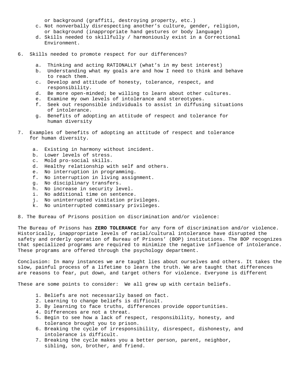or background (graffiti, destroying property, etc.)

- c. Not nonverbally disrespecting another's culture, gender, religion, or background (inappropriate hand gestures or body language)
- d. Skills needed to skillfully / harmoniously exist in a Correctional Environment.
- 6. Skills needed to promote respect for our differences?
	- a. Thinking and acting RATIONALLY (what's in my best interest)
	- b. Understanding what my goals are and how I need to think and behave to reach them.
	- c. Develop and attitude of honesty, tolerance, respect, and responsibility.
	- d. Be more open-minded; be willing to learn about other cultures.
	- e. Examine my own levels of intolerance and stereotypes.
	- f. Seek out responsible individuals to assist in diffusing situations of intolerance.
	- g. Benefits of adopting an attitude of respect and tolerance for human diversity
- 7. Examples of benefits of adopting an attitude of respect and tolerance for human diversity.
	- a. Existing in harmony without incident.
	- b. Lower levels of stress.
	- c. Mold pro-social skills.
	- d. Healthy relationship with self and others.
	- e. No interruption in programming.
	- f. No interruption in living assignment.
	- g. No disciplinary transfers.
	- h. No increase in security level.
	- i. No additional time on sentence.
	- j. No uninterrupted visitation privileges.
	- k. No uninterrupted commissary privileges.

8. The Bureau of Prisons position on discrimination and/or violence:

The Bureau of Prisons has **ZERO TOLERANCE** for any form of discrimination and/or violence. Historically, inappropriate levels of racial/cultural intolerance have disrupted the safety and orderly operation of Bureau of Prisons' (BOP) institutions. The BOP recognizes that specialized programs are required to minimize the negative influence of intolerance. These programs are offered through the psychology department.

Conclusion: In many instances we are taught lies about ourselves and others. It takes the slow, painful process of a lifetime to learn the truth. We are taught that differences are reasons to fear, put down, and target others for violence. Everyone is different

These are some points to consider: We all grew up with certain beliefs.

- 1. Beliefs are not necessarily based on fact.
- 2. Learning to change beliefs is difficult.
- 3. By learning to face truths, differences provide opportunities.
- 4. Differences are not a threat.
- 5. Begin to see how a lack of respect, responsibility, honesty, and tolerance brought you to prison.
- 6. Breaking the cycle of irresponsibility, disrespect, dishonesty, and intolerance is difficult.
- 7. Breaking the cycle makes you a better person, parent, neighbor, sibling, son, brother, and friend.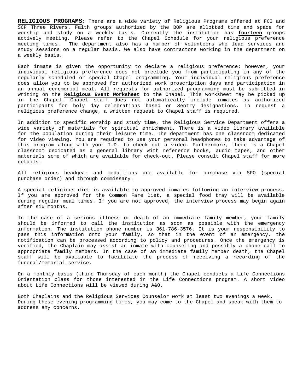**RELIGIOUS PROGRAMS:** There are a wide variety of Religious Programs offered at FCI and SCP Three Rivers. Faith groups authorized by the BOP are allotted time and space for worship and study on a weekly basis. Currently the institution has **fourteen** groups actively meeting. Please refer to the Chapel Schedule for your religious preference meeting times. The department also has a number of volunteers who lead services and study sessions on a regular basis. We also have contractors working in the department on a weekly basis.

Each inmate is given the opportunity to declare a religious preference; however, your individual religious preference does not preclude you from participating in any of the regularly scheduled or special Chapel programming. Your individual religious preference does allow you to be approved for authorized work proscription days and participation in an annual ceremonial meal. All requests for authorized programming must be submitted in writing on the **Religious Event Worksheet** to the Chapel. This worksheet may be picked up in the Chapel. Chapel staff does not automatically include inmates as authorized participants for holy day celebrations based on Sentry designations. To request a religious preference change, a written request to Chapel staff is required.

In addition to specific worship and study time, the Religious Service Department offers a wide variety of materials for spiritual enrichment. There is a video library available for the population during their leisure time. The department has one classroom dedicated for video viewing. You are required to use your personal headphones to take advantage of this program along with your I.D. to check out a video. Furthermore, there is a Chapel classroom dedicated as a general library with reference books, audio tapes, and other materials some of which are available for check-out. Please consult Chapel staff for more details.

All religious headgear and medallions are available for purchase via SPO (special purchase order) and through commissary.

A special religious diet is available to approved inmates following an interview process. If you are approved for the Common Fare Diet, a special food tray will be available during regular meal times. If you are not approved, the interview process may begin again after six months.

In the case of a serious illness or death of an immediate family member, your family should be informed to call the institution as soon as possible with the emergency information. The institution phone number is 361-786-3576. It is your responsibility to pass this information onto your family, so that in the event of an emergency, the notification can be processed according to policy and procedures. Once the emergency is verified, the Chaplain may assist an inmate with counseling and possibly a phone call to appropriate family members. In the case of an immediate family member death, the Chapel staff will be available to facilitate the process of receiving a recording of the funeral/memorial service.

On a monthly basis (third Thursday of each month) the Chapel conducts a Life Connections Orientation class for those interested in the Life Connections program. A short video about Life Connections will be viewed during A&O.

Both Chaplains and the Religious Services Counselor work at least two evenings a week. During these evening programming times, you may come to the Chapel and speak with them to address any concerns.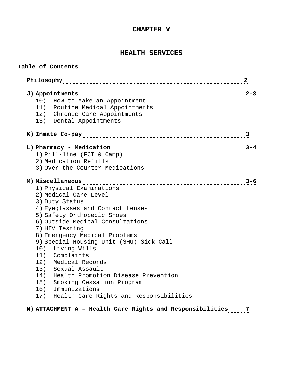# **CHAPTER V**

# **HEALTH SERVICES**

**Table of Contents**

|                                             | 2       |
|---------------------------------------------|---------|
| J) Appointments                             | $2 - 3$ |
| 10)<br>How to Make an Appointment           |         |
| 11) Routine Medical Appointments            |         |
| 12) Chronic Care Appointments               |         |
| 13) Dental Appointments                     |         |
|                                             | 3       |
| L) Pharmacy - Medication                    | $3 - 4$ |
| 1) Pill-line (FCI & Camp)                   |         |
| 2) Medication Refills                       |         |
| 3) Over-the-Counter Medications             |         |
|                                             | $3 - 6$ |
| 1) Physical Examinations                    |         |
| 2) Medical Care Level                       |         |
| 3) Duty Status                              |         |
| 4) Eyeglasses and Contact Lenses            |         |
| 5) Safety Orthopedic Shoes                  |         |
| 6) Outside Medical Consultations            |         |
| 7) HIV Testing                              |         |
| 8) Emergency Medical Problems               |         |
| 9) Special Housing Unit (SHU) Sick Call     |         |
| 10) Living Wills                            |         |
| 11) Complaints                              |         |
| 12) Medical Records                         |         |
| 13) Sexual Assault                          |         |
| Health Promotion Disease Prevention<br>14)  |         |
| Smoking Cessation Program<br>15)            |         |
| 16) Immunizations                           |         |
| 17) Health Care Rights and Responsibilities |         |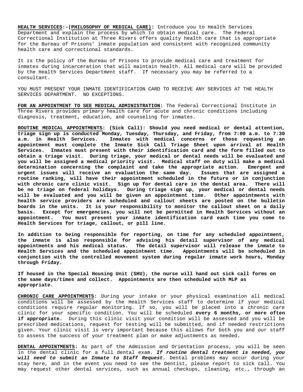**HEALTH SERVICES:-(PHILOSOPHY OF MEDICAL CARE):** Introduce you to Health Services Department and explain the process by which to obtain medical care. The Federal Correctional Institution at Three Rivers offers quality health care that is appropriate for the Bureau of Prisons' inmate population and consistent with recognized community health care and correctional standards.

It is the policy of the Bureau of Prisons to provide medical care and treatment for inmates during incarceration that will maintain health. All medical care will be provided by the Health Services Department staff. If necessary you may be referred to a consultant.

YOU MUST PRESENT YOUR INMATE IDENTIFICATION CARD TO RECEIVE ANY SERVICES AT THE HEALTH SERVICES DEPARTMENT. NO EXCEPTIONS.

**FOR AN APPOINTMENT TO SEE MEDICAL ADMINISTRATION:** The Federal Correctional Institute in Three Rivers provides primary health care for acute and chronic conditions including diagnosis, treatment, education, and counseling for inmates.

**ROUTINE MEDICAL APPOINTMENTS: (Sick Call): Should you need medical or dental attention, triage sign up is conducted Monday, Tuesday, Thursday, and Friday, from 7:00 a.m. to 7:30 a.m. in Health Services. Inmates with medical concerns or those requesting an appointment must complete the Inmate Sick Call Triage Sheet upon arrival at Health Services. Inmates must present with their identification card and the form filled out to obtain a triage visit. During triage, your medical or dental needs will be evaluated and you will be assigned a medical priority visit. Medical staff on duty will make a medical determination concerning the complaint and take the appropriate action. Emergent and urgent issues will receive an evaluation the same day. routine ranking, will have their appointment scheduled in the future or in conjunction with chronic care clinic visit. Sign up for dental care in the dental area. There will be no triage on federal holidays. During triage sign up, your medical or dental needs**  will be evaluated and you will be given an appointment time. **health service providers are scheduled and callout sheets are posted on the bulletin boards in the units. It is your responsibility to monitor the callout sheet on a daily basis. Except for emergencies, you will not be permitted in Health Services without an appointment. You must present your inmate identification card each time you come to Health Services for triage, callout, or pill line.** 

**In addition to being responsible for reporting, on time for any scheduled appointment, the inmate is also responsible for advising his detail supervisor of any medical appointments and his medical status. The detail supervisor will release the inmate to Health Services and the scheduled appointment time. Appointments will be scheduled in conjunction with the controlled movement system during regular inmate work hours, Monday through Friday.**

**If housed in the Special Housing Unit (SHU), the nurse will hand out sick call forms on the same days/times and collect. Appointments are then scheduled with MLP as appropriate.**

**CHRONIC CARE APPOINTMENTS:** During your intake or your physical examination all medical conditions will be assessed by the Health Services staff to determine if your medical conditions require regular monitoring. If so, you will be placed into a chronic care clinic for your specific condition. You will be scheduled **every 6 months, or more often if appropriate.** During this clinic visit your condition will be assessed and you will be prescribed medications, request for testing will be submitted, and if needed restrictions given. Your clinic visit is very important because this allows for both you and our staff to assess the success of your treatment plan or make adjustments as needed.

**DENTAL APPOINTMENTS:** As part of the Admission and Orientation process, you will be seen in the dental clinic for a full dental exam. *If routine dental treatment is needed, you will need to submit an Inmate to Staff Request.* Dental problems may occur during your stay here, and in the event you need to see the Dentist, please report to sick call. You may request other dental services, such as annual checkups, cleaning, etc., through an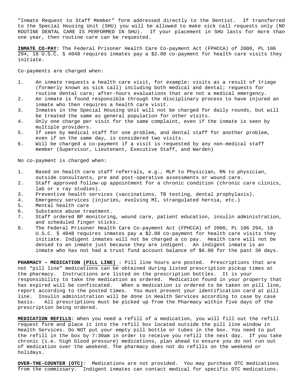"Inmate Request to Staff Member" form addressed directly to the Dentist. If transferred to the Special Housing Unit (SHU) you will be allowed to make sick call requests only (NO ROUTINE DENTAL CARE IS PERFORMED IN SHU). If your placement in SHU lasts for more than one year, then routine care can be requested.

**INMATE CO-PAY:** The Federal Prisoner Health Care Co-payment Act (FPHCCA) of 2000, PL 106 294, 18 U.S.C. § 4048 requires inmates pay a \$2.00 co-payment for health care visits they initiate.

Co-payments are charged when:

- 1. An inmate requests a health care visit, for example: visits as a result of triage (formerly known as sick call) including both medical and dental; requests for routine dental care; after-hours evaluations that are not a medical emergency.
- 2. An inmate is found responsible through the disciplinary process to have injured an inmate who then requires a health care visit.
- 3. Inmates in the Special Housing Unit will not be charged for daily rounds, but will be treated the same as general population for other visits.
- 4. Only one charge per visit for the same complaint, even if the inmate is seen by multiple providers.
- 5. If seen by medical staff for one problem, and dental staff for another problem, even if on the same day, is considered two visits.
- 6. Will be charged a co-payment if a visit is requested by any non-medical staff member (Supervisor, Lieutenant, Executive Staff, and Warden)

No co-payment is charged when:

- 1. Based on health care staff referrals, e.g., MLP to Physician, RN to physician, outside consultants, pre and post-operative assessments or wound care.
- 2. Staff approved follow-up appointment for a chronic condition (chronic care clinics, lab or x ray studies).
- 3. Preventive health services (vaccinations, TB testing, dental prophylaxis).
- 4. Emergency services (injuries, evolving MI, strangulated hernia, etc.)
- 5. Mental health care<br>6. Substance abuse tre
- 6. Substance abuse treatment.<br>7. Staff ordered BP monitorin
- Staff ordered BP monitoring, wound care, patient education, insulin administration, and scheduled finger sticks.
- 8. The Federal Prisoner Health Care Co-payment Act (FPHCCA) of 2000, PL 106 294, 18 U.S.C. § 4048 requires inmates pay a \$2.00 co-payment for health care visits they initiate. Indigent inmates will not be charged a co pay. Health care will not be denied to an inmate just because they are indigent. An indigent inmate is an inmate who has not had a trust fund account balance of \$6.00 for the past 30 days.

**PHARMACY – MEDICATION (PILL LINE)** : Pill line hours are posted. Prescriptions that are not "pill line" medications can be obtained during listed prescription pickup times at the pharmacy. Instructions are listed on the prescription bottles. It is your responsibility to take the medication as ordered. Medication found in your property that has expired will be confiscated. When a medication is ordered to be taken on pill line, report according to the posted times. You must present your identification card at pill line. Insulin administration will be done in Health Services according to case by case basis. All prescriptions must be picked up from the Pharmacy within five days of the prescription being ordered.

**MEDICATION REFILLS:** When you need a refill of a medication, you will fill out the refill request form and place it into the refill box located outside the pill line window in Health Services. Do NOT put your empty pill bottle or tubes in the box. You need to put the refill in the box by 7:30am in order to receive you refill the next day. If you take chronic (i.e. high blood pressure) medications, plan ahead to ensure you do not run out of medication over the weekend. The pharmacy does not do refills on the weekend or holidays.

**OVER-THE-COUNTER (OTC)**: Medications are not provided. You may purchase OTC medications from the commissary. Indigent inmates can contact medical for specific OTC medications.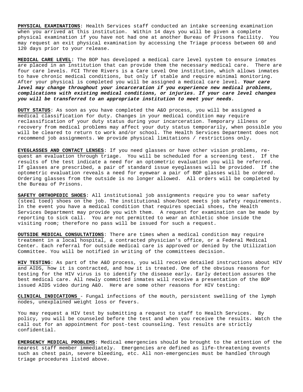**PHYSICAL EXAMINATIONS**: Health Services staff conducted an intake screening examination when you arrived at this institution. Within 14 days you will be given a complete physical examination if you have not had one at another Bureau of Prisons facility. You may request an exit physical examination by accessing the Triage process between 60 and 120 days prior to your release.

**MEDICAL CARE LEVEL:** The BOP has developed a medical care level system to ensure inmates are placed in an institution that can provide them the necessary medical care. There are four care levels. FCI Three Rivers is a Care Level One institution, which allows inmates to have chronic medical conditions, but only if stable and require minimal monitoring. After your physical is completed you will be assigned a medical care level. *Your care level may change throughout your incarceration if you experience new medical problems, complications with existing medical conditions, or injuries. If your care level changes you will be transferred to an appropriate institution to meet your needs.* 

**DUTY STATUS**: As soon as you have completed the A&O process, you will be assigned a medical classification for duty. Changes in your medical condition may require reclassification of your duty status during your incarceration. Temporary illness or recovery from medical problems may affect your duty status temporarily, when possible you will be cleared to return to work and/or school. The Health Services Department does not recommend job assignments. We provide physical limitations / restrictions only.

**EYEGLASSES AND CONTACT LENSES**: If you need glasses or have other vision problems, request an evaluation through triage. You will be scheduled for a screening test. If the results of the test indicate a need for an optometric evaluation you will be referred. If glasses are prescribed, a pair of standard issue eyeglasses will be provided. If the optometric evaluation reveals a need for eyewear a pair of BOP glasses will be ordered. Ordering glasses from the outside is no longer allowed. All orders will be completed by the Bureau of Prisons.

**SAFETY ORTHOPEDIC SHOES**: All institutional job assignments require you to wear safety (steel toed) shoes on the job. The institutional shoe/boot meets job safety requirements. In the event you have a medical condition that requires special shoes, the Health Services Department may provide you with them. A request for examination can be made by reporting to sick call. You are not permitted to wear an athletic shoe inside the visiting room; therefore no pass will be issued for such a request.

**OUTSIDE MEDICAL CONSULTATIONS**: There are times when a medical condition may require treatment in a local hospital, a contracted physician's office, or a Federal Medical Center. Each referral for outside medical care is approved or denied by the Utilization Committee. You will be notified in writing of the committees decision.

**HIV TESTING**: As part of the A&O process, you will receive detailed instructions about HIV and AIDS, how it is contracted, and how it is treated. One of the obvious reasons for testing for the HIV virus is to identify the disease early. Early detection assures the best medical care. All newly committed inmates will receive a presentation of the BOP issued AIDS video during A&O. Here are some other reasons for HIV testing:

**CLINICAL INDICATIONS** - Fungal infections of the mouth, persistent swelling of the lymph nodes, unexplained weight loss or fevers.

You may request a HIV test by submitting a request to staff to Health Services. By policy, you will be counseled before the test and when you receive the results. Watch the call out for an appointment for post-test counseling. Test results are strictly confidential.

**EMERGENCY MEDICAL PROBLEMS**: Medical emergencies should be brought to the attention of the nearest staff member immediately. Emergencies are defined as life-threatening events such as chest pain, severe bleeding, etc. All non-emergencies must be handled through triage procedures listed above.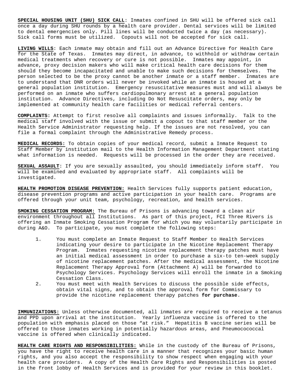**SPECIAL HOUSING UNIT (SHU) SICK CALL**: Inmates confined in SHU will be offered sick call once a day during SHU rounds by a health care provider. Dental services will be limited to dental emergencies only. Pill lines will be conducted twice a day (as necessary). Sick call forms must be utilized. Copouts will not be accepted for sick call.

**LIVING WILLS**: Each inmate may obtain and fill out an Advance Directive for Health Care for the State of Texas. Inmates may direct, in advance, to withhold or withdraw certain medical treatments when recovery or cure is not possible. Inmates may appoint, in advance, proxy decision makers who will make critical health care decisions for them should they become incapacitated and unable to make such decisions for themselves. The person selected to be the proxy cannot be another inmate or a staff member. Inmates are to understand that DNR orders will never be invoked while an inmate is housed at a general population institution. Emergency resuscitative measures must and will always be performed on an inmate who suffers cardiopulmonary arrest at a general population institution. Advance Directives, including Do Not Resuscitate orders, may only be implemented at community health care facilities or medical referral centers.

**COMPLAINTS:** Attempt to first resolve all complaints and issues informally. Talk to the medical staff involved with the issue or submit a copout to that staff member or the Health Service Administrator requesting help. If the issues are not resolved, you can file a formal complaint through the Administrative Remedy process.

**MEDICAL RECORDS:** To obtain copies of your medical record, submit a Inmate Request to Staff Member by institution mail to the Health Information Management Department stating what information is needed. Requests will be processed in the order they are received.

**SEXUAL ASSAULT**: If you are sexually assaulted, you should immediately inform staff. You will be examined and evaluated by appropriate staff. All complaints will be investigated.

**HEALTH PROMOTION DISEASE PREVENTION:** Health Services fully supports patient education, disease prevention programs and active participation in your health care. Programs are offered through your unit team, psychology, recreation, and health services.

**SMOKING CESSATION PROGRAM:** The Bureau of Prisons is advancing toward a clean air environment throughout all Institutions. As part of this project, FCI Three Rivers is offering an Inmate Smoking Cessation Program for which you may voluntarily participate in during A&O. To participate, you must complete the following steps:

- 1. You must complete an Inmate Request to Staff Member to Health Services indicating your desire to participate in the Nicotine Replacement Therapy Program. Inmates requesting nicotine replacement therapy patches must have an initial medical assessment in order to purchase a six-to ten-week supply of nicotine replacement patches. After the medical assessment, the Nicotine Replacement Therapy Approval form (Attachment A) will be forwarded to Psychology Services. Psychology Services will enroll the inmate in a Smoking Cessation Class.
- 2. You must meet with Health Services to discuss the possible side effects, obtain vital signs, and to obtain the approval form for Commissary to provide the nicotine replacement therapy patches **for purchase**.

**IMMUNIZATIONS:** Unless otherwise documented, all inmates are required to receive a tetanus and PPD upon arrival at the institution. Yearly influenza vaccine is offered to the population with emphasis placed on those "at risk." Hepatitis B vaccine series will be offered to those inmates working in potentially hazardous areas, and Pneumocococcal vaccine is offered when clinically indicated.

**HEALTH CARE RIGHTS AND RESPONSIBILITIES:** While in the custody of the Bureau of Prisons, you have the right to receive health care in a manner that recognizes your basic human rights, and you also accept the responsibility to show respect when engaging with your health care providers. A copy of the Health Care Rights and Responsibilities is posted in the front lobby of Health Services and is provided for your review in this booklet.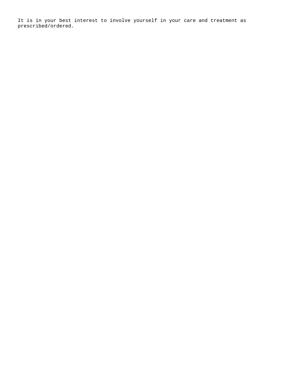It is in your best interest to involve yourself in your care and treatment as prescribed/ordered.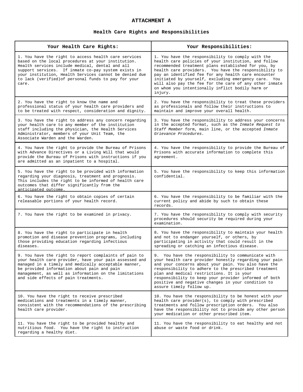# **ATTACHMENT A**

# **Health Care Rights and Responsibilities**

| Your Health Care Rights:                                                                                                                                                                                                                                                                                                                        | Your Responsibilities:                                                                                                                                                                                                                                                                                                                                                                                                                                            |
|-------------------------------------------------------------------------------------------------------------------------------------------------------------------------------------------------------------------------------------------------------------------------------------------------------------------------------------------------|-------------------------------------------------------------------------------------------------------------------------------------------------------------------------------------------------------------------------------------------------------------------------------------------------------------------------------------------------------------------------------------------------------------------------------------------------------------------|
| 1. You have the right to access health care services<br>based on the local procedures at your institution.<br>Health services include medical, dental and all<br>support services. If inmate co-pay system exists in<br>your institution, Health Services cannot be denied due<br>to lack (verified) of personal funds to pay for your<br>care. | 1. You have the responsibility to comply with the<br>health care policies of your institution, and follow<br>recommended treatment plans established for you, by<br>health care providers. You have the responsibility to<br>pay an identified fee for any health care encounter<br>initiated by yourself, excluding emergency care. You<br>will also pay the fee for the care of any other inmate<br>on whom you intentionally inflict bodily harm or<br>injury. |
| 2. You have the right to know the name and<br>professional status of your health care providers and<br>to be treated with respect, consideration and dignity.                                                                                                                                                                                   | 2. You have the responsibility to treat these providers<br>as professionals and follow their instructions to<br>maintain and improve your overall health.                                                                                                                                                                                                                                                                                                         |
| 3. You have the right to address any concern regarding<br>your health care to any member of the institution<br>staff including the physician, the Health Services<br>Administrator, members of your Unit Team, the<br>Associate Warden and the Warden.                                                                                          | 3. You have the responsibility to address your concerns<br>in the accepted format, such as the Inmate Request to<br>Staff Member form, main line, or the accepted Inmate<br>Grievance Procedures.                                                                                                                                                                                                                                                                 |
| 4. You have the right to provide the Bureau of Prisons<br>with Advance Directives or a Living Will that would<br>provide the Bureau of Prisons with instructions if you<br>are admitted as an inpatient to a hospital.                                                                                                                          | 4. You have the responsibility to provide the Bureau of<br>Prisons with accurate information to complete this<br>agreement.                                                                                                                                                                                                                                                                                                                                       |
| 5. You have the right to be provided with information<br>regarding your diagnosis, treatment and prognosis.<br>This includes the right to be informed of health care<br>outcomes that differ significantly from the<br>anticipated outcome.                                                                                                     | 5. You have the responsibility to keep this information<br>confidential.                                                                                                                                                                                                                                                                                                                                                                                          |
| 6. You have the right to obtain copies of certain<br>releasable portions of your health record.                                                                                                                                                                                                                                                 | 6. You have the responsibility to be familiar with the<br>current policy and abide by such to obtain these<br>records.                                                                                                                                                                                                                                                                                                                                            |
| 7. You have the right to be examined in privacy.                                                                                                                                                                                                                                                                                                | 7. You have the responsibility to comply with security<br>procedures should security be required during your<br>examination.                                                                                                                                                                                                                                                                                                                                      |
| 8. You have the right to participate in health<br>promotion and disease prevention programs, including<br>those providing education regarding infectious<br>diseases.                                                                                                                                                                           | 8. You have the responsibility to maintain your health<br>and not to endanger yourself, or others, by<br>participating in activity that could result in the<br>spreading or catching an infectious disease.                                                                                                                                                                                                                                                       |
| 9. You have the right to report complaints of pain to<br>your health care provider, have your pain assessed and<br>managed in a timely and medically acceptable manner,<br>be provided information about pain and pain<br>management, as well as information on the limitations<br>and side effects of pain treatments.                         | 9. You have the responsibility to communicate with<br>your health care provider honestly regarding your pain<br>and your concerns about your pain. You also have the<br>responsibility to adhere to the prescribed treatment<br>plan and medical restrictions. It is your<br>responsibility to keep your provider informed of both<br>positive and negative changes in your condition to<br>assure timely follow up.                                              |
| 10. You have the right to receive prescribed<br>medications and treatments in a timely manner,<br>consistent with the recommendations of the prescribing<br>health care provider.                                                                                                                                                               | 10. You have the responsibility to be honest with your<br>health care provider(s), to comply with prescribed<br>treatments and follow prescription orders. You also<br>have the responsibility not to provide any other person<br>your medication or other prescribed item.                                                                                                                                                                                       |
| 11. You have the right to be provided healthy and<br>nutritious food. You have the right to instruction<br>regarding a healthy diet.                                                                                                                                                                                                            | 11. You have the responsibility to eat healthy and not<br>abuse or waste food or drink.                                                                                                                                                                                                                                                                                                                                                                           |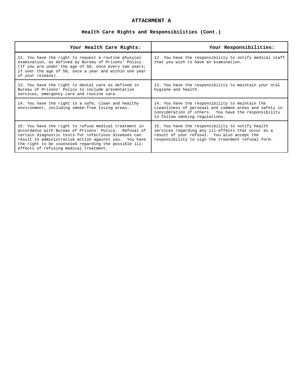# **ATTACHMENT A**

# **Health Care Rights and Responsibilities (Cont.)**

| Your Health Care Rights:                                                                                                                                                                                                                                                                                                           | Your Responsibilities:                                                                                                                                                                                      |
|------------------------------------------------------------------------------------------------------------------------------------------------------------------------------------------------------------------------------------------------------------------------------------------------------------------------------------|-------------------------------------------------------------------------------------------------------------------------------------------------------------------------------------------------------------|
| 12. You have the right to request a routine physical<br>examination, as defined by Bureau of Prisons' Policy.<br>(If you are under the age of 50, once every two years;<br>if over the age of 50, once a year and within one year<br>of your release).                                                                             | 12. You have the responsibility to notify medical staff<br>that you wish to have an examination.                                                                                                            |
| 13. You have the right to dental care as defined in<br>Bureau of Prisons' Policy to include preventative<br>services, emergency care and routine care.                                                                                                                                                                             | 13. You have the responsibility to maintain your oral<br>hygiene and health.                                                                                                                                |
| 14. You have the right to a safe, clean and healthy<br>environment, including smoke-free living areas.                                                                                                                                                                                                                             | 14. You have the responsibility to maintain the<br>cleanliness of personal and common areas and safety in<br>consideration of others. You have the responsibility<br>to follow smoking regulations.         |
| 15. You have the right to refuse medical treatment in<br>accordance with Bureau of Prisons' Policy. Refusal of<br>certain diagnostic tests for infectious diseases can<br>result in administrative action against you. You have<br>the right to be counseled regarding the possible ill-<br>effects of refusing medical treatment. | 15. You have the responsibility to notify health<br>services regarding any ill-effects that occur as a<br>result of your refusal. You also accept the<br>responsibility to sign the treatment refusal form. |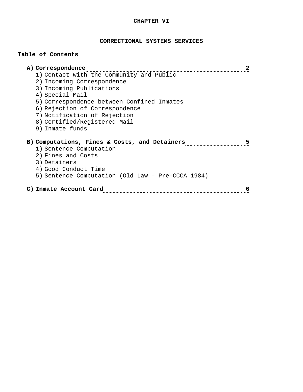# **CHAPTER VI**

# **CORRECTIONAL SYSTEMS SERVICES**

# **Table of Contents**

| A) Correspondence<br>2                             |
|----------------------------------------------------|
| 1) Contact with the Community and Public           |
| 2) Incoming Correspondence                         |
| 3) Incoming Publications                           |
| 4) Special Mail                                    |
| 5) Correspondence between Confined Inmates         |
| 6) Rejection of Correspondence                     |
| 7) Notification of Rejection                       |
| 8) Certified/Registered Mail                       |
| 9) Inmate funds                                    |
| B) Computations, Fines & Costs, and Detainers<br>5 |
| 1) Sentence Computation                            |
| 2) Fines and Costs                                 |
| 3) Detainers                                       |
| 4) Good Conduct Time                               |
| 5) Sentence Computation (Old Law - Pre-CCCA 1984)  |
| C) Inmate Account Card<br>6                        |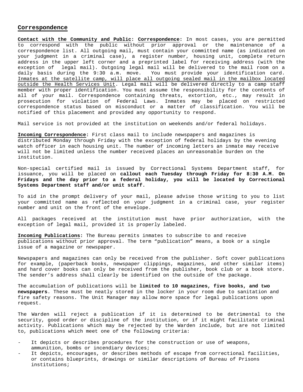### **Correspondence**

**Contact with the Community and Public: Correspondence:** In most cases, you are permitted to correspond with the public without prior approval or the maintenance of a correspondence list. All outgoing mail, must contain your committed name (as indicated on your judgment in a criminal case), a register number, housing unit, complete return address in the upper left corner and a preprinted label for receiving address (with the exception of legal mail). Outgoing legal mail will be delivered to the mail room on a daily basis during the 9:30 a.m. move. You must provide your identification card. Inmates at the satellite camp, will place all outgoing sealed mail in the mailbox located outside the Health Services Unit. Legal mail will be delivered directly to a camp staff member with proper identification. You must assume the responsibility for the contents of all of your mail. Correspondence containing threats, extortion, etc., may result in prosecution for violation of Federal Laws. Inmates may be placed on restricted correspondence status based on misconduct or a matter of classification. You will be notified of this placement and provided any opportunity to respond.

Mail service is not provided at the institution on weekends and/or federal holidays.

**Incoming Correspondence:** First class mail to include newspapers and magazines is distributed Monday through Friday with the exception of federal holidays by the evening watch officer in each housing unit. The number of incoming letters an inmate may receive will not be limited unless the number received places an unreasonable burden on the institution.

Non-special certified mail is issued by Correctional Systems Department staff, for issuance, you will be placed on **callout each Tuesday through Friday for 8:30 A.M. On Fridays and the day prior to a federal holiday, you will be located by Correctional Systems Department staff and/or unit staff.**

To aid in the prompt delivery of your mail, please advise those writing to you to list your committed name as reflected on your judgment in a criminal case, your register number and unit on the front of the envelope.

All packages received at the institution must have prior authorization, with the exception of legal mail, provided it is properly labeled.

**Incoming Publications:** The Bureau permits inmates to subscribe to and receive publications without prior approval. The term "publication" means, a book or a single issue of a magazine or newspaper.

Newspapers and magazines can only be received from the publisher. Soft cover publications for example, (paperback books, newspaper clippings, magazines, and other similar items) and hard cover books can only be received from the publisher, book club or a book store. The sender's address shall clearly be identified on the outside of the package.

The accumulation of publications will be **limited to 10 magazines, five books, and two newspapers**. These must be neatly stored in the locker in your room due to sanitation and fire safety reasons. The Unit Manager may allow more space for legal publications upon request.

The Warden will reject a publication if it is determined to be detrimental to the security, good order or discipline of the institution, or if it might facilitate criminal activity. Publications which may be rejected by the Warden include, but are not limited to, publications which meet one of the following criteria:

- It depicts or describes procedures for the construction or use of weapons, ammunition, bombs or incendiary devices;
- It depicts, encourages, or describes methods of escape from correctional facilities, or contains blueprints, drawings or similar descriptions of Bureau of Prisons institutions;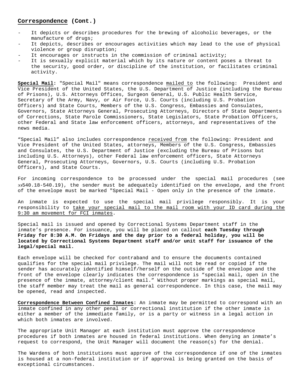### **Correspondence (Cont.)**

- It depicts or describes procedures for the brewing of alcoholic beverages, or the manufacture of drugs;
- It depicts, describes or encourages activities which may lead to the use of physical violence or group disruption;
- It encourages or instructs in the commission of criminal activity;
- It is sexually explicit material which by its nature or content poses a threat to the security, good order, or discipline of the institution, or facilitates criminal activity.

**Special Mail:** "Special Mail" means correspondence mailed to the following: President and Vice President of the United States, the U.S. Department of Justice (including the Bureau of Prisons), U.S. Attorneys Offices, Surgeon General, U.S. Public Health Service, Secretary of the Army, Navy, or Air Force, U.S. Courts (including U.S. Probation Officers) and State Courts, Members of the U.S. Congress, Embassies and Consulates, Governors, State Attorneys General, Prosecuting Attorneys, Directors of State Departments of Corrections, State Parole Commissioners, State Legislators, State Probation Officers, other Federal and State law enforcement officers, attorneys, and representatives of the news media.

"Special Mail" also includes correspondence received from the following: President and Vice President of the United States, attorneys, Members of the U.S. Congress, Embassies and Consulates, the U.S. Department of Justice (excluding the Bureau of Prisons but including U.S. Attorneys), other Federal law enforcement officers, State Attorneys General, Prosecuting Attorneys, Governors, U.S. Courts (including U.S. Probation Officers), and State Courts.

For incoming correspondence to be processed under the special mail procedures (see ∋∋540.18-540.19), the sender must be adequately identified on the envelope, and the front of the envelope must be marked "Special Mail - Open only in the presence of the inmate.

An inmate is expected to use the special mail privilege responsibly. It is your responsibility to take your special mail to the mail room with your ID card during the 9:30 am movement for FCI inmates.

Special mail is issued and opened by Correctional Systems Department staff in the inmate's presence. For issuance, you will be placed on callout **each Tuesday through Friday for 8:30 A.M. On Fridays and the day prior to a federal holiday, you will be located by Correctional Systems Department staff and/or unit staff for issuance of the legal/special mail.**

Each envelope will be checked for contraband and to ensure the documents contained qualifies for the special mail privilege. The mail will not be read or copied if the sender has accurately identified himself/herself on the outside of the envelope and the front of the envelope clearly indicates the correspondence is "special mail, open in the presence of the inmate, attorney/client mail." Without proper markings as special mail, the staff member may treat the mail as general correspondence. In this case, the mail may be opened, read and inspected.

**Correspondence Between Confined Inmates:** An inmate may be permitted to correspond with an inmate confined in any other penal or correctional institution if the other inmate is either a member of the immediate family, or is a party or witness in a legal action in which both inmates are involved.

The appropriate Unit Manager at each institution must approve the correspondence procedures if both inmates are housed in federal institutions. When denying an inmate's request to correspond, the Unit Manager will document the reason(s) for the denial.

The Wardens of both institutions must approve of the correspondence if one of the inmates is housed at a non-federal institution or if approval is being granted on the basis of exceptional circumstances.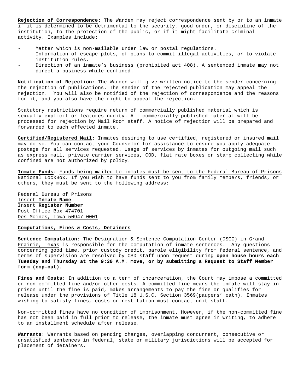**Rejection of Correspondence:** The Warden may reject correspondence sent by or to an inmate if it is determined to be detrimental to the security, good order, or discipline of the institution, to the protection of the public, or if it might facilitate criminal activity. Examples include:

- Matter which is non-mailable under law or postal regulations.
- Information of escape plots, of plans to commit illegal activities, or to violate institution rules.
- Direction of an inmate's business (prohibited act 408). A sentenced inmate may not direct a business while confined.

**Notification of Rejection:** The Warden will give written notice to the sender concerning the rejection of publications. The sender of the rejected publication may appeal the rejection. You will also be notified of the rejection of correspondence and the reasons for it, and you also have the right to appeal the rejection.

Statutory restrictions require return of commercially published material which is sexually explicit or features nudity. All commercially published material will be processed for rejection by Mail Room staff. A notice of rejection will be prepared and forwarded to each effected inmate.

**Certified/Registered Mail:** Inmates desiring to use certified, registered or insured mail may do so. You can contact your Counselor for assistance to ensure you apply adequate postage for all services requested. Usage of services by inmates for outgoing mail such as express mail, private carrier services, COD, flat rate boxes or stamp collecting while confined are not authorized by policy.

**Inmate Funds:** Funds being mailed to inmates must be sent to the Federal Bureau of Prisons National LockBox. If you wish to have funds sent to you from family members, friends, or others, they must be sent to the following address:

Federal Bureau of Prisons Insert **Inmate Name** Insert **Register Number** Post Office Box 474701 Des Moines, Iowa 50947-0001

## **Computations, Fines & Costs, Detainers**

**Sentence Computation:** The Designation & Sentence Computation Center (DSCC) in Grand Prairie, Texas is responsible for the computation of inmate sentences. Any questions concerning good time, prior custody credit, parole eligibility from federal sentence, and terms of supervision are resolved by CSD staff upon request during **open house hours each Tuesday and Thursday at the 9:30 A.M. move, or by submitting a Request to Staff Member form (cop-out).**

**Fines and Costs:** In addition to a term of incarceration, the Court may impose a committed or non-committed fine and/or other costs. A committed fine means the inmate will stay in prison until the fine is paid, makes arrangements to pay the fine or qualifies for release under the provisions of Title 18 U.S.C. Section 3569(paupers' oath). Inmates wishing to satisfy fines, costs or restitution must contact unit staff.

Non-committed fines have no condition of imprisonment. However, if the non-committed fine has not been paid in full prior to release, the inmate must agree in writing, to adhere to an installment schedule after release.

**Warrants:** Warrants based on pending charges, overlapping concurrent, consecutive or unsatisfied sentences in federal, state or military jurisdictions will be accepted for placement of detainers.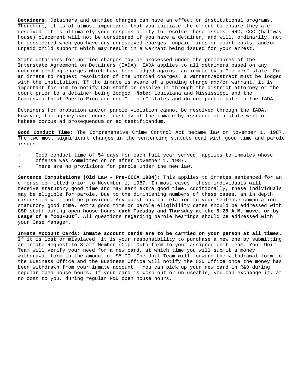**Detainers:** Detainers and untried charges can have an effect on institutional programs. Therefore, it is of utmost importance that you initiate the effort to ensure they are resolved. It is ultimately your responsibility to resolve these issues. RRC, CCC (halfway house) placement will not be considered if you have a detainer, and will, ordinarily, not be considered when you have any unresolved charges, unpaid fines or court costs, and/or unpaid child support which may result in a warrant being issued for your arrest.

State detainers for untried charges may be processed under the procedures of the Interstate Agreement on Detainers (IADA). IADA applies to all detainers based on any **untried** pending charges which have been lodged against an inmate by a "member" state. For an inmate to request resolution of the untried charges, a warrant/abstract must be lodged with the institution. If the inmate is aware of a pending charge and/or warrant, it is important for him to notify CSD staff or resolve it through the district attorney or the court prior to a detainer being lodged. **Note:** Louisiana and Mississippi and the Commonwealth of Puerto Rico are not "member" states and do not participate in the IADA.

Detainers for probation and/or parole violation cannot be resolved through the IADA. However, the agency can request custody of the inmate by issuance of a state writ of habeas corpus ad prosequendum or ad testificandum.

**Good Conduct Time:** The Comprehensive Crime Control Act became law on November 1, 1987. The two most significant changes in the sentencing statute deal with good time and parole issues.

- Good conduct time of 54 days for each full year served, applies to inmates whose offense was committed on or after November 1, 1987.
- There are no provisions for parole under the new law.

**Sentence Computations (Old Law - Pre-CCCA 1984):** This applies to inmates sentenced for an offense committed prior to November 1, 1987. In most cases, these individuals will receive statutory good time and may earn extra good time. Additionally, these individuals may be eligible for parole. Due to the diminishing numbers of these cases, an in depth discussion will not be provided. Any questions in relation to your sentence computation, statutory good time, extra good time or parole eligibility dates should be addressed with **CSD** staff during **open house hours each Tuesday and Thursday at the 9:25 A.M. move, or by usage of a "Cop-Out".** All questions regarding parole hearings should be addressed with your Case Manager.

**Inmate Account Cards: Inmate account cards are to be carried on your person at all times.**  If it is lost or misplaced, it is your responsibility to purchase a new one by submitting an Inmate Request to Staff Member (Cop- Out) form to your assigned Unit Team. Your Unit Team will verify your need for a new card, at which time you will submit a money withdrawal form in the amount of \$5.00. The Unit Team will forward the withdrawal form to the Business Office and the Business Office will notify the CSD Office once the money has been withdrawn from your inmate account. You can pick up your new card in R&D during regular open house hours. If your card is worn out or un-useable, you can exchange it, at no cost to you, during regular R&D open house hours.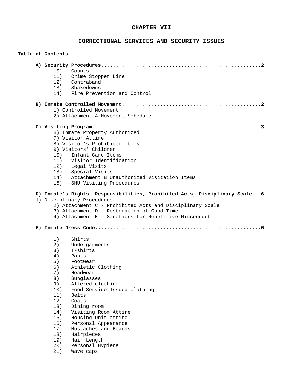# **CHAPTER VII**

# **CORRECTIONAL SERVICES AND SECURITY ISSUES**

|  | Table of Contents                                                          |
|--|----------------------------------------------------------------------------|
|  |                                                                            |
|  | 10) Counts                                                                 |
|  | 11) Crime Stopper Line                                                     |
|  | 12) Contraband                                                             |
|  | 13) Shakedowns                                                             |
|  | 14) Fire Prevention and Control                                            |
|  |                                                                            |
|  | 1) Controlled Movement                                                     |
|  | 2) Attachment A Movement Schedule                                          |
|  |                                                                            |
|  |                                                                            |
|  | 6) Inmate Property Authorized                                              |
|  | 7) Visitor Attire                                                          |
|  | 8) Visitor's Prohibited Items                                              |
|  | 9) Visitors' Children                                                      |
|  | 10) Infant Care Items                                                      |
|  | 11) Visitor Identification                                                 |
|  | 12) Legal Visits                                                           |
|  | 13) Special Visits                                                         |
|  | 14) Attachment B Unauthorized Visitation Items                             |
|  | 15) SHU Visiting Procedures                                                |
|  | D) Inmate's Rights, Responsibilities, Prohibited Acts, Disciplinary Scale6 |
|  | 1) Disciplinary Procedures                                                 |
|  | 2) Attachment C - Prohibited Acts and Disciplinary Scale                   |
|  | 3) Attachment D - Restoration of Good Time                                 |
|  | 4) Attachment E - Sanctions for Repetitive Misconduct                      |
|  |                                                                            |
|  | Shirts<br>1)                                                               |
|  | 2)<br>Undergarments                                                        |
|  | 3)<br>T-shirts                                                             |
|  | 4)<br>Pants                                                                |
|  | 5)<br>Footwear                                                             |
|  | Athletic Clothing<br>6)                                                    |
|  | 7)<br>Headwear                                                             |
|  | 8)<br>Sunglasses                                                           |
|  | 9)<br>Altered clothing                                                     |
|  | Food Service Issued clothing<br>10)                                        |
|  | 11)<br>Belts                                                               |
|  | 12)<br>Coats                                                               |
|  | 13)<br>Dining room                                                         |
|  | 14)<br>Visiting Room Attire                                                |
|  | 15)<br>Housing Unit attire                                                 |
|  | 16)<br>Personal Appearance                                                 |
|  | Mustaches and Beards<br>17)                                                |
|  | 18)<br>Hairpieces                                                          |
|  | 19)<br>Hair Length                                                         |
|  | 20)<br>Personal Hygiene                                                    |
|  | 21)<br>Wave caps                                                           |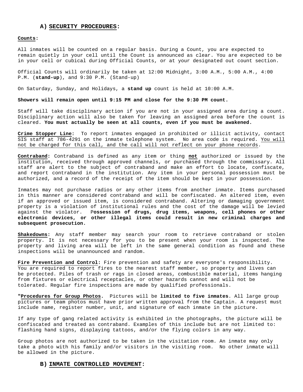#### **A) SECURITY PROCEDURES:**

#### **Counts:**

All inmates will be counted on a regular basis. During a Count, you are expected to remain quietly in your cell until the Count is announced as clear. You are expected to be in your cell or cubical during Official Counts, or at your designated out count section.

Official Counts will ordinarily be taken at 12:00 Midnight, 3:00 A.M., 5:00 A.M., 4:00 P.M. (**stand-up**), and 9:30 P.M. (Stand-up)

On Saturday, Sunday, and Holidays, a **stand up** count is held at 10:00 A.M.

**Showers will remain open until 9:15 PM and close for the 9:30 PM count.** 

Staff will take disciplinary action if you are not in your assigned area during a count. Disciplinary action will also be taken for leaving an assigned area before the count is cleared. **You must actually be seen at all counts, even if you must be awakened.**

**Crime Stopper Line:** To report inmates engaged in prohibited or illicit activity, contact SIS staff at 786-4291 on the inmate telephone system. No area code is required. You will not be charged for this call, and the call will not reflect on your phone records.

**Contraband:** Contraband is defined as any item or thing **not** authorized or issued by the institution, received through approved channels, or purchased through the commissary. All staff are alert to the subject of contraband and make an effort to locate, confiscate, and report contraband in the institution. Any item in your personal possession must be authorized, and a record of the receipt of the item should be kept in your possession.

Inmates may not purchase radios or any other items from another inmate. Items purchased in this manner are considered contraband and will be confiscated. An altered item, even if an approved or issued item, is considered contraband. Altering or damaging government property is a violation of institutional rules and the cost of the damage will be levied against the violator. P**ossession of drugs, drug items, weapons, cell phones or other electronic devices, or other illegal items could result in new criminal charges and subsequent prosecution.**

**Shakedowns:** Any staff member may search your room to retrieve contraband or stolen property. It is not necessary for you to be present when your room is inspected. The property and living area will be left in the same general condition as found and these inspections will be unannounced and random.

**Fire Prevention and Control:** Fire prevention and safety are everyone's responsibility. You are required to report fires to the nearest staff member, so property and lives can be protected. Piles of trash or rags in closed areas, combustible material, items hanging from fixtures or electrical receptacles, or other hazards cannot and will not be tolerated. Regular fire inspections are made by qualified professionals.

**"Procedures for Group Photos.** Pictures will be **limited to five inmates**. All large group pictures or team photos must have prior written approval from the Captain. A request must include name, register number, unit, and signature of each inmate in the picture.

If any type of gang related activity is exhibited in the photographs, the picture will be confiscated and treated as contraband. Examples of this include but are not limited to: flashing hand signs, displaying tattoos, and/or the flying colors in any way.

Group photos are not authorized to be taken in the visitation room. An inmate may only take a photo with his family and/or visitors in the visiting room. No other inmate will be allowed in the picture.

#### **B) INMATE CONTROLLED MOVEMENT:**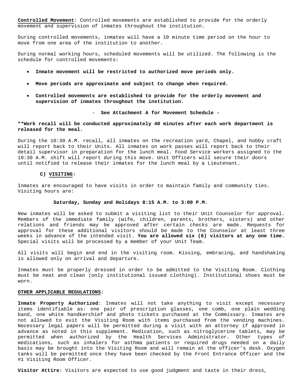**Controlled Movement**: Controlled movements are established to provide for the orderly movement and supervision of inmates throughout the institution.

During controlled movements, inmates will have a 10 minute time period on the hour to move from one area of the institution to another.

During normal working hours, scheduled movements will be utilized. The following is the schedule for controlled movements:

- **Inmate movement will be restricted to authorized move periods only.**
- **Move periods are approximate and subject to change when required.**
- **Controlled movements are established to provide for the orderly movement and supervision of inmates throughout the institution.**

- **See Attachment A for Movement Schedule -**

**\*\*Work recall will be conducted approximately 40 minutes after each work department is released for the meal.**

During the 10:30 A.M. recall, all inmates on the recreation yard, Chapel, and hobby craft will report back to their Units. All inmates on work passes will report back to their detail supervisor in preparation for the lunch meal. Food Service workers assigned to the 10:30 A.M. shift will report during this move. Unit Officers will secure their doors until notified to release their inmates for the lunch meal by a Lieutenant.

## **C) VISITING:**

Inmates are encouraged to have visits in order to maintain family and community ties. Visiting hours are:

#### **Saturday, Sunday and Holidays 8:15 A.M. to 3:00 P.M.**

New inmates will be asked to submit a visiting list to their Unit Counselor for approval. Members of the immediate family (wife, children, parents, brothers, sisters) and other relations and friends may be approved after certain checks are made. Requests for approval for these additional visitors should be made to the Counselor at least three weeks in advance of the intended visit. **You are allowed six (6) visitors at any one time.** Special visits will be processed by a member of your Unit Team.

All visits will begin and end in the visiting room. Kissing, embracing, and handshaking is allowed only on arrival and departure.

Inmates must be properly dressed in order to be admitted to the Visiting Room. Clothing must be neat and clean (only institutional issued clothing). Institutional shoes must be worn.

#### **OTHER APPLICABLE REGULATIONS:**

**Inmate Property Authorized**: Inmates will not take anything to visit except necessary items identifiable as: one pair of prescription glasses, one comb, one plain wedding band, one white handkerchief and photo tickets purchased at the Commissary. Inmates are not allowed to exit the Visiting Room with items purchased from the vending machines. Necessary legal papers will be permitted during a visit with an attorney if approved in advance as noted in this supplement. Medication, such as nitroglycerine tablets, may be permitted when authorized by the Health Services Administrator. Other types of medications, such as inhalers for asthma patients or required drugs needed on a daily basis may be brought into the Visiting Room and will remain at the officer's desk. Oxygen tanks will be permitted once they have been checked by the Front Entrance Officer and the #1 Visiting Room Officer.

**Visitor Attire**: Visitors are expected to use good judgment and taste in their dress,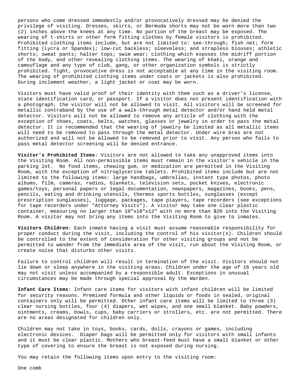persons who come dressed immodestly and/or provocatively dressed may be denied the privilege of visiting. Dresses, skirts, or Bermuda shorts may not be worn more than two (2) inches above the knees at any time. No portion of the breast may be exposed. The wearing of t-shirts or other form fitting clothes by female visitors is prohibited. Prohibited clothing items include, but are not limited to: see-through; fish net; form fitting (Lycra or Spandex); low-cut backless; sleeveless; and strapless blouses; athletic shorts; sweat pants; halter tops; swim wear; clothing which exposes the midriff portion of the body, and other revealing clothing items. The wearing of khaki, orange and camouflage and any type of club, gang, or other organization symbols is strictly prohibited. Tight, provocative dress is not acceptable at any time in the visiting room. The wearing of prohibited clothing items under coats or jackets is also prohibited. During inclement weather, a light jacket or coat may be worn.

Visitors must have valid proof of their identity with them such as a driver's license, state identification card, or passport. If a visitor does not present identification with a photograph, the visitor will not be allowed to visit. All visitors will be screened for metallic contraband by the use of a walk-through metal detector and/or hand held metal detector. Visitors will not be allowed to remove any article of clothing with the exception of shoes, coats, belts, watches, glasses or jewelry in order to pass the metal detector. It is recommended that the wearing of jewelry be limited as all metallic items will need to be removed to pass through the metal detector. Under wire bras are not authorized and will not be allowed to be removed prior to visit. Any person who fails to pass metal detector screening will be denied entrance.

**Visitor's Prohibited Items**: Visitors are not allowed to take any unapproved items into the Visiting Room. All non-permissible items must remain in the visitor's vehicle in the parking lot. No food items, chewing gum, or medication are permitted in the Visiting Room, with the exception of nitroglycerine tablets. Prohibited items include but are not limited to the following items: large handbags, umbrellas, instant type photos, photo albums, film, cameras, radios, blankets, television sets, pocket knives, electronic games/toys, personal papers or legal documentation, newspapers, magazines, books, pens, pencils, eating and drinking utensils, thermos sports bottles, sunglasses (except prescription sunglasses), luggage, packages, tape players, tape recorders (see exceptions for tape recorders under "Attorney Visits"). A visitor may take one clear plastic container, measuring no larger than 10"x10"x12" with no more than \$20 into the Visiting Room. A visitor may not bring any items into the Visiting Room to give to inmates.

**Visitors Children**: Each inmate having a visit must assume reasonable responsibility for proper conduct during the visit, including the control of his visitor(s). Children should be controlled to the extent of consideration for other visiting groups and not be permitted to wander from the immediate area of the visit, run about the Visiting Room, or create noise that disturbs other visits.

Failure to control children will result in termination of the visit. Visitors should not lie down or sleep anywhere in the visiting areas. Children under the age of 16 years old may not visit unless accompanied by a responsible adult. Exceptions in unusual circumstances may be made through special approval by the Warden.

**Infant Care Items**: Infant care items for visitors with infant children will be limited for security reasons. Premixed formula and other liquids or foods in sealed, original containers only will be permitted. Other infant care items will be limited to three (3) clear nursing bottles, four (4) diapers, wet wipes, and one small blanket. Baby powders, ointments, creams, bowls, cups, baby carriers or strollers, etc. are not permitted. There are no areas designated for children only.

Children may not take in toys, books, cards, dolls, crayons or games, including electronic devices. Diaper bags will be permitted only for visitors with small infants and it must be clear plastic. Mothers who breast-feed must have a small blanket or other type of covering to ensure the breast is not exposed during nursing.

You may retain the following items upon entry to the visiting room:

One comb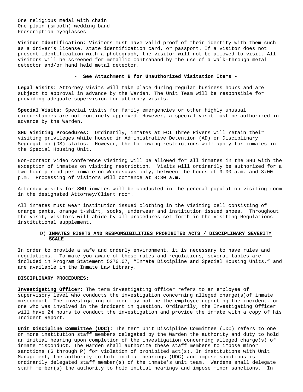One religious medal with chain One plain (smooth) wedding band Prescription eyeglasses

**Visitor Identification:** Visitors must have valid proof of their identity with them such as a driver's license, state identification card, or passport. If a visitor does not present identification with a photograph, the visitor will not be allowed to visit. All visitors will be screened for metallic contraband by the use of a walk-through metal detector and/or hand held metal detector.

### - **See Attachment B for Unauthorized Visitation Items -**

**Legal Visits:** Attorney visits will take place during regular business hours and are subject to approval in advance by the Warden. The Unit Team will be responsible for providing adequate supervision for attorney visits.

**Special Visits:** Special visits for family emergencies or other highly unusual circumstances are not routinely approved. However, a special visit must be authorized in advance by the Warden.

**SHU Visiting Procedures**: Ordinarily, inmates at FCI Three Rivers will retain their visiting privileges while housed in Administrative Detention (AD) or Disciplinary Segregation (DS) status. However, the following restrictions will apply for inmates in the Special Housing Unit.

Non-contact video conference visiting will be allowed for all inmates in the SHU with the exception of inmates on visiting restriction. Visits will ordinarily be authorized for a two-hour period per inmate on Wednesdays only, between the hours of 9:00 a.m. and 3:00 p.m. Processing of visitors will commence at 8:30 a.m.

Attorney visits for SHU inmates will be conducted in the general population visiting room in the designated Attorney/Client room.

All inmates must wear institution issued clothing in the visiting cell consisting of orange pants, orange t-shirt, socks, underwear and institution issued shoes. Throughout the visit, visitors will abide by all procedures set forth in the Visiting Regulations institutional supplement.

## D) **INMATES RIGHTS AND RESPONSIBILITIES PROHIBITED ACTS / DISCIPLINARY SEVERITY SCALE**

In order to provide a safe and orderly environment, it is necessary to have rules and regulations. To make you aware of these rules and regulations, several tables are included in Program Statement 5270.07, "Inmate Discipline and Special Housing Units," and are available in the Inmate Law Library.

#### **DISCIPLINARY PROCEDURES:**

**Investigating Officer:** The term investigating officer refers to an employee of supervisory level who conducts the investigation concerning alleged charge(s)of inmate misconduct. The investigating officer may not be the employee reporting the incident, or one who was involved in the incident in question. Ordinarily, the Investigating Officer will have 24 hours to conduct the investigation and provide the inmate with a copy of his Incident Report.

**Unit Discipline Committee (UDC):** The term Unit Discipline Committee (UDC) refers to one or more institution staff members delegated by the Warden the authority and duty to hold an initial hearing upon completion of the investigation concerning alleged charge(s) of inmate misconduct. The Warden shall authorize these staff members to impose minor sanctions (G through P) for violation of prohibited act(s). In institutions with Unit Management, the authority to hold initial hearings (UDC) and impose sanctions is ordinarily delegated staff member(s) of the inmate's unit team. Wardens shall delegate staff member(s) the authority to hold initial hearings and impose minor sanctions. In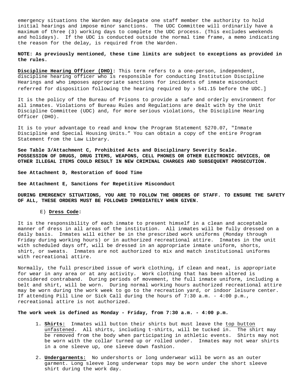emergency situations the Warden may delegate one staff member the authority to hold initial hearings and impose minor sanctions. The UDC Committee will ordinarily have a maximum of three (3) working days to complete the UDC process. (This excludes weekends and holidays). If the UDC is conducted outside the normal time frame, a memo indicating the reason for the delay, is required from the Warden.

### **NOTE: As previously mentioned, these time limits are subject to exceptions as provided in the rules.**

**Discipline Hearing Officer (DHO):** This term refers to a one-person, independent, discipline hearing officer who is responsible for conducting Institution Discipline Hearings and who imposes appropriate sanctions for incidents of inmate misconduct referred for disposition following the hearing required by ∋ 541.15 before the UDC.]

It is the policy of the Bureau of Prisons to provide a safe and orderly environment for all inmates. Violations of Bureau Rules and Regulations are dealt with by the Unit Discipline Committee (UDC) and, for more serious violations, the Discipline Hearing Officer (DHO).

It is to your advantage to read and know the Program Statement 5270.07, "Inmate Discipline and Special Housing Units." You can obtain a copy of the entire Program Statement from the Law Library.

**See Table 3/Attachment C, Prohibited Acts and Disciplinary Severity Scale. POSSESSION OF DRUGS, DRUG ITEMS, WEAPONS, CELL PHONES OR OTHER ELECTRONIC DEVICES, OR OTHER ILLEGAL ITEMS COULD RESULT IN NEW CRIMINAL CHARGES AND SUBSEQUENT PROSECUTION.**

**See Attachment D, Restoration of Good Time**

**See Attachment E, Sanctions for Repetitive Misconduct**

**DURING EMERGENCY SITUATIONS, YOU ARE TO FOLLOW THE ORDERS OF STAFF. TO ENSURE THE SAFETY OF ALL, THESE ORDERS MUST BE FOLLOWED IMMEDIATELY WHEN GIVEN.**

### E) **Dress Code:**

It is the responsibility of each inmate to present himself in a clean and acceptable manner of dress in all areas of the institution. All inmates will be fully dressed on a daily basis. Inmates will either be in the prescribed work uniforms (Monday through Friday during working hours) or in authorized recreational attire. Inmates in the unit with scheduled days off, will be dressed in an appropriate inmate uniform, shorts, shirt, or sweats. Inmates are not authorized to mix and match institutional uniforms with recreational attire.

Normally, the full prescribed issue of work clothing, if clean and neat, is appropriate for wear in any area or at any activity. Work clothing that has been altered is considered contraband. During periods of movement, the full inmate uniform, including a belt and shirt, will be worn. During normal working hours authorized recreational attire may be worn during the work week to go to the recreation yard, or indoor leisure center. If attending Pill Line or Sick Call during the hours of 7:30 a.m. - 4:00 p.m., recreational attire is not authorized.

**The work week is defined as Monday - Friday, from 7:30 a.m. - 4:00 p.m.**

- 1. **Shirts:** Inmates will button their shirts but must leave the top button unfastened. All shirts, including t-shirts, will be tucked in. The shirt may be removed from the body when participating in athletic events. Shirts may not be worn with the collar turned up or rolled under. Inmates may not wear shirts in a one sleeve up, one sleeve down fashion.
- 2. **Undergarments:** No undershorts or long underwear will be worn as an outer garment. Long sleeve long underwear tops may be worn under the short sleeve shirt during the work day.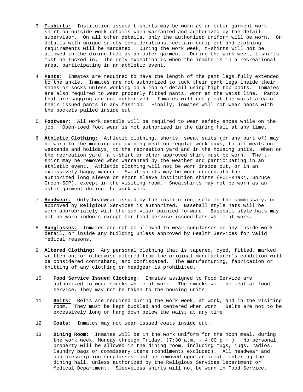- 3. **T-shirts:** Institution issued t-shirts may be worn as an outer garment work shirt on outside work details when warranted and authorized by the detail supervisor. On all other details, only the authorized uniform will be worn. On details with unique safety considerations, certain equipment and clothing requirements will be mandated. During the work week, t-shirts will not be allowed in the dining hall as an outer garment. During the work week, t-shirts must be tucked in. The only exception is when the inmate is in a recreational area, participating in an athletic event.
- 4. **Pants:** Inmates are required to have the length of the pant legs fully extended to the ankle. Inmates are not authorized to tuck their pant legs inside their shoes or socks unless working on a job or detail using high top boots. Inmates are also required to wear properly fitted pants, worn at the waist line. Pants that are sagging are not authorized. Inmates will not pleat the waist area of their issued pants in any fashion. Finally, inmates will not wear pants with the pockets pulled inside out.
- 5. **Footwear:** All work details will be required to wear safety shoes while on the job. Open-toed foot wear is not authorized in the dining hall at any time.
- 6. **Athletic Clothing:** Athletic clothing, shorts, sweat suits (or any part of) may be worn to the morning and evening meal on regular work days, to all meals on weekends and holidays, to the recreation yard and in the housing units. When on the recreation yard, a t-shirt or other approved shirt must be worn. The tshirt may be removed when warranted by the weather and participating in an athletic event. Athletic clothing will not be worn inside out, or in an excessively baggy manner. Sweat shirts may be worn underneath the authorized long sleeve or short sleeve institution shirts (FCI-Khaki, Spruce Green-SCP), except in the visiting room. Sweatshirts may not be worn as an outer garment during the work week.
- 7. **Headwear:** Only headwear issued by the institution, sold in the commissary, or approved by Religious Services is authorized. Baseball style hats will be worn appropriately with the sun visor pointed forward. Baseball style hats may not be worn indoors except for food service issued hats while at work.
- 8. **Sunglasses:** Inmates are not be allowed to wear sunglasses on any inside work detail, or inside any building unless approved by Health Services for valid medical reasons.
- 9. **Altered Clothing:** Any personal clothing that is tapered, dyed, fitted, marked, written on, or otherwise altered from the original manufacturer's condition will be considered contraband, and confiscated. The manufacturing, fabrication or knitting of any clothing or headgear is prohibited.
- 10. **Food Service Issued Clothing:** Inmates assigned to Food Service are authorized to wear smocks while at work. The smocks will be kept at food service. They may not be taken to the housing units.
- 11. **Belts:** Belts are required during the work week, at work, and in the visiting room. They must be kept buckled and centered when worn. Belts are not to be excessively long or hang down below the waist at any time.
- 12. **Coats:** Inmates may not wear issued coats inside out.
- 13. **Dining Room:** Inmates will be in the work uniform for the noon meal, during the work week, Monday through Friday, (7:30 a.m. - 4:00 p.m.). No personal property will be allowed in the dining room, including mugs, jugs, radios, laundry bags or commissary items (condiments excluded). All headwear and non-prescription sunglasses must be removed upon an inmate entering the dining hall, unless authorized by the Religious Services Department or Medical Department. Sleeveless shirts will not be worn in Food Service.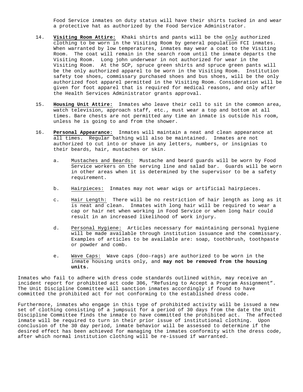Food Service inmates on duty status will have their shirts tucked in and wear a protective hat as authorized by the Food Service Administrator.

- 14. **Visiting Room Attire:** Khaki shirts and pants will be the only authorized clothing to be worn in the Visiting Room by general population FCI inmates. When warranted by low temperatures, inmates may wear a coat to the Visiting Room. The coat will remain in the search room until the inmate departs the Visiting Room. Long john underwear in not authorized for wear in the Visiting Room. At the SCP, spruce green shirts and spruce green pants will be the only authorized apparel to be worn in the Visiting Room. Institution safety toe shoes, commissary purchased shoes and bus shoes, will be the only authorized foot apparel permitted in the Visiting Room. Consideration will be given for foot apparel that is required for medical reasons, and only after the Health Services Administrator grants approval.
- 15. **Housing Unit Attire:** Inmates who leave their cell to sit in the common area, watch television, approach staff, etc., must wear a top and bottom at all times. Bare chests are not permitted any time an inmate is outside his room, unless he is going to and from the shower.
- 16. **Personal Appearance:** Inmates will maintain a neat and clean appearance at all times. Regular bathing will also be maintained. Inmates are not authorized to cut into or shave in any letters, numbers, or insignias to their beards, hair, mustaches or skin.
	- a. Mustaches and Beards: Mustache and beard guards will be worn by Food Service workers on the serving line and salad bar. Guards will be worn in other areas when it is determined by the supervisor to be a safety requirement.
	- b. Hairpieces: Inmates may not wear wigs or artificial hairpieces.
	- c. Hair Length: There will be no restriction of hair length as long as it is neat and clean. Inmates with long hair will be required to wear a cap or hair net when working in Food Service or when long hair could result in an increased likelihood of work injury.
	- d. Personal Hygiene: Articles necessary for maintaining personal hygiene will be made available through institution issuance and the commissary. Examples of articles to be available are: soap, toothbrush, toothpaste or powder and comb.
	- e. Wave Caps: Wave caps (doo-rags) are authorized to be worn in the inmate housing units only, and **may not be removed from the housing units.**

Inmates who fail to adhere with dress code standards outlined within, may receive an incident report for prohibited act code 306, "Refusing to Accept a Program Assignment". The Unit Discipline Committee will sanction inmates accordingly if found to have committed the prohibited act for not conforming to the established dress code.

Furthermore, inmates who engage in this type of prohibited activity will be issued a new set of clothing consisting of a jumpsuit for a period of 30 days from the date the Unit Discipline Committee finds the inmate to have committed the prohibited act. The affected inmate will be required to turn in their prior issue of institutional clothing. Upon conclusion of the 30 day period, inmate behavior will be assessed to determine if the desired effect has been achieved for managing the inmates conformity with the dress code, after which normal institution clothing will be re-issued if warranted.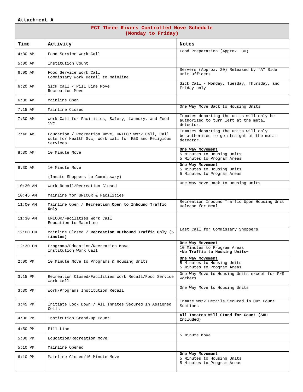## **Attachment A**

| FCI Three Rivers Controlled Move Schedule<br>(Monday to Friday) |                                                                                                                          |                                                                                                 |  |  |  |  |
|-----------------------------------------------------------------|--------------------------------------------------------------------------------------------------------------------------|-------------------------------------------------------------------------------------------------|--|--|--|--|
| Time                                                            | Activity                                                                                                                 | <b>Notes</b>                                                                                    |  |  |  |  |
| $4:30$ AM                                                       | Food Service Work Call                                                                                                   | Food Preparation (Approx. 30)                                                                   |  |  |  |  |
| $5:00$ AM                                                       | Institution Count                                                                                                        |                                                                                                 |  |  |  |  |
| $6:00$ AM                                                       | Food Service Work Call<br>Commissary Work Detail to Mainline                                                             | Servers (Approx. 20) Released by "A" Side<br>Unit Officers                                      |  |  |  |  |
| $6:20$ AM                                                       | Sick Call / Pill Line Move<br>Recreation Move                                                                            | Sick Call - Monday, Tuesday, Thursday, and<br>Friday only                                       |  |  |  |  |
| $6:30$ AM                                                       | Mainline Open                                                                                                            |                                                                                                 |  |  |  |  |
| $7:15$ AM                                                       | Mainline Closed                                                                                                          | One Way Move Back to Housing Units                                                              |  |  |  |  |
| $7:30$ AM                                                       | Work Call for Facilities, Safety, Laundry, and Food<br>Svc.                                                              | Inmates departing the units will only be<br>authorized to turn left at the metal<br>detector.   |  |  |  |  |
| $7:40$ AM                                                       | Education / Recreation Move, UNICOR Work Call, Call<br>outs for Health Svc, Work call for R&D and Religious<br>Services. | Inmates departing the units will only<br>be authorized to go straight at the metal<br>detector. |  |  |  |  |
| $8:30$ AM                                                       | 10 Minute Move                                                                                                           | One Way Movement<br>5 Minutes to Housing Units<br>5 Minutes to Program Areas                    |  |  |  |  |
| $9:30$ AM                                                       | 10 Minute Move                                                                                                           | One Way Movement<br>5 Minutes to Housing Units                                                  |  |  |  |  |
|                                                                 | (Inmate Shoppers to Commissary)                                                                                          | 5 Minutes to Program Areas                                                                      |  |  |  |  |
| $10:30$ AM                                                      | Work Recall/Recreation Closed                                                                                            | One Way Move Back to Housing Units                                                              |  |  |  |  |
| $10:45$ AM                                                      | Mainline for UNICOR & Facilities                                                                                         |                                                                                                 |  |  |  |  |
| $11:00$ AM                                                      | Mainline Open / Recreation Open to Inbound Traffic<br>Only                                                               | Recreation Inbound Traffic Upon Housing Unit<br>Release for Meal                                |  |  |  |  |
| $11:30$ AM                                                      | UNICOR/Facilities Work Call<br>Education to Mainline                                                                     |                                                                                                 |  |  |  |  |
| $12:00$ PM                                                      | Mainline Closed / Recreation Outbound Traffic Only (5<br>minutes)                                                        | Last Call for Commissary Shoppers                                                               |  |  |  |  |
| $12:30$ PM                                                      | Programs/Education/Recreation Move<br>Institution Work Call                                                              | One Way Movement<br>10 Minutes to Program Areas<br>~No Traffic to Housing Units~                |  |  |  |  |
| $2:00$ PM                                                       | 10 Minute Move to Programs & Housing Units                                                                               | One Way Movement<br>5 Minutes to Housing Units<br>5 Minutes to Program Areas                    |  |  |  |  |
| $3:15$ PM                                                       | Recreation Closed/Facilities Work Recall/Food Service<br>Work Call                                                       | One Way Move to Housing Units except for F/S<br>Workers                                         |  |  |  |  |
| $3:30$ PM                                                       | Work/Programs Institution Recall                                                                                         | One Way Move to Housing Units                                                                   |  |  |  |  |
| $3:45$ PM                                                       | Initiate Lock Down / All Inmates Secured in Assigned<br>Cells                                                            | Inmate Work Details Secured in Out Count<br>Sections                                            |  |  |  |  |
| $4:00$ PM                                                       | Institution Stand-up Count                                                                                               | All Inmates Will Stand for Count (SHU<br>Included)                                              |  |  |  |  |
| $4:50$ PM                                                       | Pill Line                                                                                                                |                                                                                                 |  |  |  |  |
| $5:00$ PM                                                       | Education/Recreation Move                                                                                                | 5 Minute Move                                                                                   |  |  |  |  |
| $5:10$ PM                                                       | Mainline Opened                                                                                                          |                                                                                                 |  |  |  |  |
| $6:10$ PM                                                       | Mainline Closed/10 Minute Move                                                                                           | One Way Movement<br>5 Minutes to Housing Units<br>5 Minutes to Program Areas                    |  |  |  |  |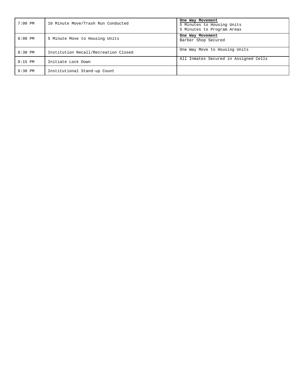| $7:00$ PM | 10 Minute Move/Trash Run Conducted   | One Way Movement<br>5 Minutes to Housing Units<br>5 Minutes to Program Areas |
|-----------|--------------------------------------|------------------------------------------------------------------------------|
| $8:00$ PM | 5 Minute Move to Housing Units       | One Way Movement<br>Barber Shop Secured                                      |
| $8:30$ PM | Institution Recall/Recreation Closed | One Way Move to Housing Units                                                |
| $9:15$ PM | Initiate Lock Down                   | All Inmates Secured in Assigned Cells                                        |
| $9:30$ PM | Institutional Stand-up Count         |                                                                              |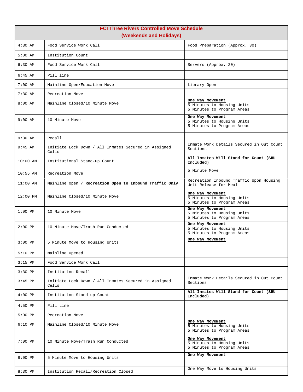| <b>FCI Three Rivers Controlled Move Schedule</b><br>(Weekends and Holidays) |                                                               |                                                                              |  |  |
|-----------------------------------------------------------------------------|---------------------------------------------------------------|------------------------------------------------------------------------------|--|--|
| $4:30$ AM                                                                   | Food Service Work Call                                        | Food Preparation (Approx. 30)                                                |  |  |
| $5:00$ AM                                                                   | Institution Count                                             |                                                                              |  |  |
| $6:30$ AM                                                                   | Food Service Work Call                                        | Servers (Approx. 20)                                                         |  |  |
| $6:45$ AM                                                                   | Pill line                                                     |                                                                              |  |  |
| $7:00$ AM                                                                   | Mainline Open/Education Move                                  | Library Open                                                                 |  |  |
| $7:30$ AM                                                                   | Recreation Move                                               |                                                                              |  |  |
| $8:00$ AM                                                                   | Mainline Closed/10 Minute Move                                | One Way Movement<br>5 Minutes to Housing Units<br>5 Minutes to Program Areas |  |  |
| $9:00$ AM                                                                   | 10 Minute Move                                                | One Way Movement<br>5 Minutes to Housing Units<br>5 Minutes to Program Areas |  |  |
| $9:30$ AM                                                                   | Recall                                                        |                                                                              |  |  |
| $9:45$ AM                                                                   | Initiate Lock Down / All Inmates Secured in Assigned<br>Cells | Inmate Work Details Secured in Out Count<br>Sections                         |  |  |
| $10:00$ AM                                                                  | Institutional Stand-up Count                                  | All Inmates Will Stand for Count (SHU<br>Included)                           |  |  |
| $10:55$ AM                                                                  | Recreation Move                                               | 5 Minute Move                                                                |  |  |
| $11:00$ AM                                                                  | Mainline Open / Recreation Open to Inbound Traffic Only       | Recreation Inbound Traffic Upon Housing<br>Unit Release for Meal             |  |  |
| $12:00$ PM                                                                  | Mainline Closed/10 Minute Move                                | One Way Movement<br>5 Minutes to Housing Units<br>5 Minutes to Program Areas |  |  |
| $1:00$ PM                                                                   | 10 Minute Move                                                | One Way Movement<br>5 Minutes to Housing Units<br>5 Minutes to Program Areas |  |  |
| $2:00$ PM                                                                   | 10 Minute Move/Trash Run Conducted                            | One Way Movement<br>5 Minutes to Housing Units<br>5 Minutes to Program Areas |  |  |
| $3:00$ PM                                                                   | 5 Minute Move to Housing Units                                | One Way Movement                                                             |  |  |
| $5:10$ PM                                                                   | Mainline Opened                                               |                                                                              |  |  |
| $3:15$ PM                                                                   | Food Service Work Call                                        |                                                                              |  |  |
| $3:30$ PM                                                                   | Institution Recall                                            |                                                                              |  |  |
| $3:45$ PM                                                                   | Initiate Lock Down / All Inmates Secured in Assigned<br>Cells | Inmate Work Details Secured in Out Count<br>Sections                         |  |  |
| $4:00$ PM                                                                   | Institution Stand-up Count                                    | All Inmates Will Stand for Count (SHU<br>Included)                           |  |  |
| $4:50$ PM                                                                   | Pill Line                                                     |                                                                              |  |  |
| $5:00$ PM                                                                   | Recreation Move                                               |                                                                              |  |  |
| $6:10$ PM                                                                   | Mainline Closed/10 Minute Move                                | One Way Movement<br>5 Minutes to Housing Units<br>5 Minutes to Program Areas |  |  |
| $7:00$ PM                                                                   | 10 Minute Move/Trash Run Conducted                            | One Way Movement<br>5 Minutes to Housing Units<br>5 Minutes to Program Areas |  |  |
| $8:00$ PM                                                                   | 5 Minute Move to Housing Units                                | One Way Movement                                                             |  |  |
| 8:30 PM                                                                     | Institution Recall/Recreation Closed                          | One Way Move to Housing Units                                                |  |  |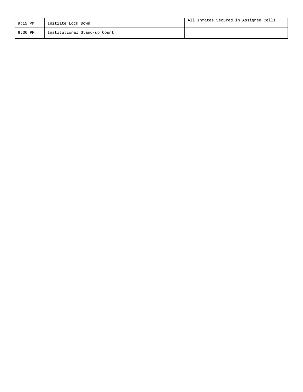| $9:15$ PM | Initiate Lock Down           | All Inmates Secured in Assigned Cells |
|-----------|------------------------------|---------------------------------------|
| $9:30$ PM | Institutional Stand-up Count |                                       |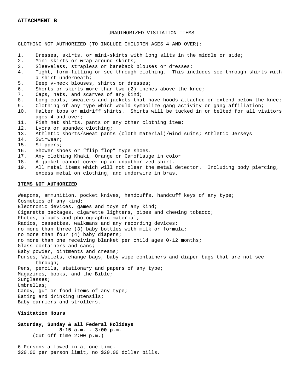#### **ATTACHMENT B**

### UNAUTHORIZED VISITATION ITEMS

#### CLOTHING NOT AUTHORIZED (TO INCLUDE CHILDREN AGES 4 AND OVER):

- 1. Dresses, skirts, or mini-skirts with long slits in the middle or side;<br>2. Mini-skirts or wrap around skirts;
- 2. Mini-skirts or wrap around skirts;<br>3. Sleeveless, strapless or bareback !
- 3. Sleeveless, strapless or bareback blouses or dresses;<br>4. Tight, form-fitting or see through clothing. This in
- 4. Tight, form-fitting or see through clothing. This includes see through shirts with a shirt underneath;
- 5. Deep v-neck blouses, shirts or dresses;<br>6. Shorts or skirts more than two (2) inch
- 6. Shorts or skirts more than two  $(2)$  inches above the knee;<br>7. Caps, hats, and scarves of any kind;
- 7. Caps, hats, and scarves of any kind;<br>8. Long coats, sweaters and jackets tha
- 8. Long coats, sweaters and jackets that have hoods attached or extend below the knee;<br>9. Clothing of any type which would symbolize gang activity or gang affiliation;
- 9. Clothing of any type which would symbolize gang activity or gang affiliation;<br>10. Halter tops or midriff shirts. Shirts will be tucked in or belted for all vi
- Halter tops or midriff shirts. Shirts will be tucked in or belted for all visitors ages 4 and over;
- 11. Fish net shirts, pants or any other clothing item;<br>12. Lycra or spandex clothing;
- 12. Lycra or spandex clothing;<br>13. Athletic shorts/sweat pant
- 13. Athletic shorts/sweat pants (cloth material)/wind suits; Athletic Jerseys
- 14. Swimwear;
- 15. Slippers;<br>16. Shower sh
- 16. Shower shoes or "flip flop" type shoes.<br>17. Any clothing Khaki, Orange or Camoflaug
- 17. Any clothing Khaki, Orange or Camoflauge in color
- 18. A jacket cannot cover up an unauthorized shirt.<br>19. All metal items which will not clear the metal
- All metal items which will not clear the metal detector. Including body piercing, excess metal on clothing, and underwire in bras.

#### **ITEMS NOT AUTHORIZED**

Weapons, ammunition, pocket knives, handcuffs, handcuff keys of any type; Cosmetics of any kind; Electronic devices, games and toys of any kind; Cigarette packages, cigarette lighters, pipes and chewing tobacco; Photos, albums and photographic material; Radios, cassettes, walkmans and any recording devices; no more than three (3) baby bottles with milk or formula; no more than four (4) baby diapers; no more than one receiving blanket per child ages 0-12 months; Glass containers and cans; Baby powder, ointments and creams; Purses, Wallets, change bags, baby wipe containers and diaper bags that are not see through; Pens, pencils, stationary and papers of any type; Magazines, books, and the Bible; Sunglasses; Umbrellas; Candy, gum or food items of any type; Eating and drinking utensils; Baby carriers and strollers.

#### **Visitation Hours**

### **Saturday, Sunday & all Federal Holidays 8:15 a.m. - 3:00 p.m.** (Cut off time 2:00 p.m.)

6 Persons allowed in at one time. \$20.00 per person limit, no \$20.00 dollar bills.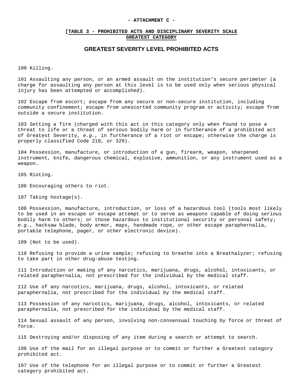#### **- ATTACHMENT C -**

### **[TABLE 3 - PROHIBITED ACTS AND DISCIPLINARY SEVERITY SCALE GREATEST CATEGORY**

# **GREATEST SEVERITY LEVEL PROHIBITED ACTS**

100 Killing.

101 Assaulting any person, or an armed assault on the institution's secure perimeter (a charge for assaulting any person at this level is to be used only when serious physical injury has been attempted or accomplished).

102 Escape from escort; escape from any secure or non-secure institution, including community confinement; escape from unescorted community program or activity; escape from outside a secure institution.

103 Setting a fire (charged with this act in this category only when found to pose a threat to life or a threat of serious bodily harm or in furtherance of a prohibited act of Greatest Severity, *e.g.,* in furtherance of a riot or escape; otherwise the charge is properly classified Code 218, or 329).

104 Possession, manufacture, or introduction of a gun, firearm, weapon, sharpened instrument, knife, dangerous chemical, explosive, ammunition, or any instrument used as a weapon.

105 Rioting.

106 Encouraging others to riot.

107 Taking hostage(s).

108 Possession, manufacture, introduction, or loss of a hazardous tool (tools most likely to be used in an escape or escape attempt or to serve as weapons capable of doing serious bodily harm to others; or those hazardous to institutional security or personal safety; *e.g.,* hacksaw blade, body armor, maps, handmade rope, or other escape paraphernalia, portable telephone, pager, or other electronic device).

109 (Not to be used).

110 Refusing to provide a urine sample; refusing to breathe into a Breathalyzer; refusing to take part in other drug-abuse testing.

111 Introduction or making of any narcotics, marijuana, drugs, alcohol, intoxicants, or related paraphernalia, not prescribed for the individual by the medical staff.

112 Use of any narcotics, marijuana, drugs, alcohol, intoxicants, or related paraphernalia, not prescribed for the individual by the medical staff.

113 Possession of any narcotics, marijuana, drugs, alcohol, intoxicants, or related paraphernalia, not prescribed for the individual by the medical staff.

114 Sexual assault of any person, involving non-consensual touching by force or threat of force.

115 Destroying and/or disposing of any item during a search or attempt to search.

196 Use of the mail for an illegal purpose or to commit or further a Greatest category prohibited act.

197 Use of the telephone for an illegal purpose or to commit or further a Greatest category prohibited act.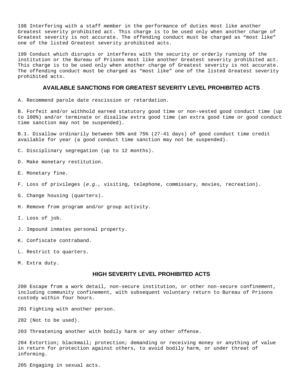198 Interfering with a staff member in the performance of duties most like another Greatest severity prohibited act. This charge is to be used only when another charge of Greatest severity is not accurate. The offending conduct must be charged as "most like" one of the listed Greatest severity prohibited acts.

199 Conduct which disrupts or interferes with the security or orderly running of the institution or the Bureau of Prisons most like another Greatest severity prohibited act. This charge is to be used only when another charge of Greatest severity is not accurate. The offending conduct must be charged as "most like" one of the listed Greatest severity prohibited acts.

# **AVAILABLE SANCTIONS FOR GREATEST SEVERITY LEVEL PROHIBITED ACTS**

A. Recommend parole date rescission or retardation.

B. Forfeit and/or withhold earned statutory good time or non-vested good conduct time (up to 100%) and/or terminate or disallow extra good time (an extra good time or good conduct time sanction may not be suspended).

B.1. Disallow ordinarily between 50% and 75% (27-41 days) of good conduct time credit available for year (a good conduct time sanction may not be suspended).

C. Disciplinary segregation (up to 12 months).

D. Make monetary restitution.

- E. Monetary fine.
- F. Loss of privileges (*e.g.,* visiting, telephone, commissary, movies, recreation).
- G. Change housing (quarters).

H. Remove from program and/or group activity.

- I. Loss of job.
- J. Impound inmates personal property.
- K. Confiscate contraband.
- L. Restrict to quarters.

M. Extra duty.

# **HIGH SEVERITY LEVEL PROHIBITED ACTS**

200 Escape from a work detail, non-secure institution, or other non-secure confinement, including community confinement, with subsequent voluntary return to Bureau of Prisons custody within four hours.

201 Fighting with another person.

202 (Not to be used).

203 Threatening another with bodily harm or any other offense.

204 Extortion; blackmail; protection; demanding or receiving money or anything of value in return for protection against others, to avoid bodily harm, or under threat of informing.

205 Engaging in sexual acts.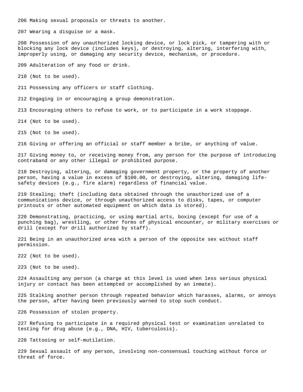206 Making sexual proposals or threats to another.

207 Wearing a disguise or a mask.

208 Possession of any unauthorized locking device, or lock pick, or tampering with or blocking any lock device (includes keys), or destroying, altering, interfering with, improperly using, or damaging any security device, mechanism, or procedure.

209 Adulteration of any food or drink.

210 (Not to be used).

211 Possessing any officers or staff clothing.

212 Engaging in or encouraging a group demonstration.

213 Encouraging others to refuse to work, or to participate in a work stoppage.

214 (Not to be used).

215 (Not to be used).

216 Giving or offering an official or staff member a bribe, or anything of value.

217 Giving money to, or receiving money from, any person for the purpose of introducing contraband or any other illegal or prohibited purpose.

218 Destroying, altering, or damaging government property, or the property of another person, having a value in excess of \$100.00, or destroying, altering, damaging lifesafety devices (e.g., fire alarm) regardless of financial value.

219 Stealing; theft (including data obtained through the unauthorized use of a communications device, or through unauthorized access to disks, tapes, or computer printouts or other automated equipment on which data is stored).

220 Demonstrating, practicing, or using martial arts, boxing (except for use of a punching bag), wrestling, or other forms of physical encounter, or military exercises or drill (except for drill authorized by staff).

221 Being in an unauthorized area with a person of the opposite sex without staff permission.

222 (Not to be used).

223 (Not to be used).

224 Assaulting any person (a charge at this level is used when less serious physical injury or contact has been attempted or accomplished by an inmate).

225 Stalking another person through repeated behavior which harasses, alarms, or annoys the person, after having been previously warned to stop such conduct.

226 Possession of stolen property.

227 Refusing to participate in a required physical test or examination unrelated to testing for drug abuse (e.g., DNA, HIV, tuberculosis).

228 Tattooing or self-mutilation.

229 Sexual assault of any person, involving non-consensual touching without force or threat of force.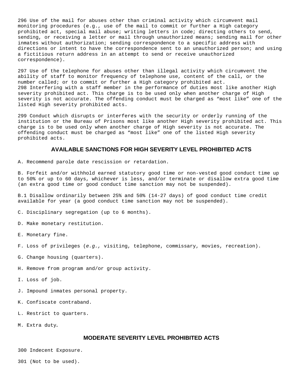296 Use of the mail for abuses other than criminal activity which circumvent mail monitoring procedures (e.g., use of the mail to commit or further a High category prohibited act, special mail abuse; writing letters in code; directing others to send, sending, or receiving a letter or mail through unauthorized means; sending mail for other inmates without authorization; sending correspondence to a specific address with directions or intent to have the correspondence sent to an unauthorized person; and using a fictitious return address in an attempt to send or receive unauthorized correspondence).

297 Use of the telephone for abuses other than illegal activity which circumvent the ability of staff to monitor frequency of telephone use, content of the call, or the number called; or to commit or further a High category prohibited act. 298 Interfering with a staff member in the performance of duties most like another High severity prohibited act. This charge is to be used only when another charge of High severity is not accurate. The offending conduct must be charged as "most like" one of the listed High severity prohibited acts.

299 Conduct which disrupts or interferes with the security or orderly running of the institution or the Bureau of Prisons most like another High severity prohibited act. This charge is to be used only when another charge of High severity is not accurate. The offending conduct must be charged as "most like" one of the listed High severity prohibited acts.

## **AVAILABLE SANCTIONS FOR HIGH SEVERITY LEVEL PROHIBITED ACTS**

A. Recommend parole date rescission or retardation.

B. Forfeit and/or withhold earned statutory good time or non-vested good conduct time up to 50% or up to 60 days, whichever is less, and/or terminate or disallow extra good time (an extra good time or good conduct time sanction may not be suspended).

B.1 Disallow ordinarily between 25% and 50% (14-27 days) of good conduct time credit available for year (a good conduct time sanction may not be suspended).

C. Disciplinary segregation (up to 6 months).

- D. Make monetary restitution.
- E. Monetary fine.
- F. Loss of privileges (*e.g.,* visiting, telephone, commissary, movies, recreation).
- G. Change housing (quarters).
- H. Remove from program and/or group activity.
- I. Loss of job.
- J. Impound inmates personal property.
- K. Confiscate contraband.
- L. Restrict to quarters.
- M. Extra duty**.**

# **MODERATE SEVERITY LEVEL PROHIBITED ACTS**

300 Indecent Exposure.

301 (Not to be used).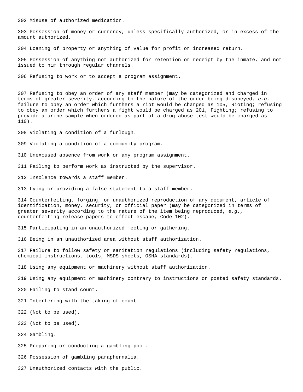302 Misuse of authorized medication.

303 Possession of money or currency, unless specifically authorized, or in excess of the amount authorized.

304 Loaning of property or anything of value for profit or increased return.

305 Possession of anything not authorized for retention or receipt by the inmate, and not issued to him through regular channels.

306 Refusing to work or to accept a program assignment.

307 Refusing to obey an order of any staff member (may be categorized and charged in terms of greater severity, according to the nature of the order being disobeyed, *e.g.*  failure to obey an order which furthers a riot would be charged as 105, Rioting; refusing to obey an order which furthers a fight would be charged as 201, Fighting; refusing to provide a urine sample when ordered as part of a drug-abuse test would be charged as 110).

308 Violating a condition of a furlough.

309 Violating a condition of a community program.

310 Unexcused absence from work or any program assignment.

311 Failing to perform work as instructed by the supervisor.

312 Insolence towards a staff member.

313 Lying or providing a false statement to a staff member.

314 Counterfeiting, forging, or unauthorized reproduction of any document, article of identification, money, security, or official paper (may be categorized in terms of greater severity according to the nature of the item being reproduced, *e.g.,*  counterfeiting release papers to effect escape, Code 102).

315 Participating in an unauthorized meeting or gathering.

316 Being in an unauthorized area without staff authorization.

317 Failure to follow safety or sanitation regulations (including safety regulations, chemical instructions, tools, MSDS sheets, OSHA standards).

318 Using any equipment or machinery without staff authorization.

319 Using any equipment or machinery contrary to instructions or posted safety standards.

320 Failing to stand count.

321 Interfering with the taking of count.

322 (Not to be used).

323 (Not to be used).

324 Gambling.

325 Preparing or conducting a gambling pool.

326 Possession of gambling paraphernalia.

327 Unauthorized contacts with the public.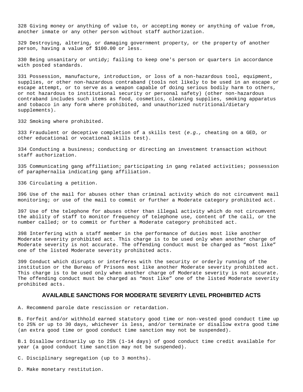328 Giving money or anything of value to, or accepting money or anything of value from, another inmate or any other person without staff authorization.

329 Destroying, altering, or damaging government property, or the property of another person, having a value of \$100.00 or less.

330 Being unsanitary or untidy; failing to keep one's person or quarters in accordance with posted standards.

331 Possession, manufacture, introduction, or loss of a non-hazardous tool, equipment, supplies, or other non-hazardous contraband (tools not likely to be used in an escape or escape attempt, or to serve as a weapon capable of doing serious bodily harm to others, or not hazardous to institutional security or personal safety) (other non-hazardous contraband includes such items as food, cosmetics, cleaning supplies, smoking apparatus and tobacco in any form where prohibited, and unauthorized nutritional/dietary supplements).

332 Smoking where prohibited.

333 Fraudulent or deceptive completion of a skills test (*e.g.,* cheating on a GED, or other educational or vocational skills test).

334 Conducting a business; conducting or directing an investment transaction without staff authorization.

335 Communicating gang affiliation; participating in gang related activities; possession of paraphernalia indicating gang affiliation.

336 Circulating a petition.

396 Use of the mail for abuses other than criminal activity which do not circumvent mail monitoring; or use of the mail to commit or further a Moderate category prohibited act.

397 Use of the telephone for abuses other than illegal activity which do not circumvent the ability of staff to monitor frequency of telephone use, content of the call, or the number called; or to commit or further a Moderate category prohibited act.

398 Interfering with a staff member in the performance of duties most like another Moderate severity prohibited act. This charge is to be used only when another charge of Moderate severity is not accurate. The offending conduct must be charged as "most like" one of the listed Moderate severity prohibited acts.

399 Conduct which disrupts or interferes with the security or orderly running of the institution or the Bureau of Prisons most like another Moderate severity prohibited act. This charge is to be used only when another charge of Moderate severity is not accurate. The offending conduct must be charged as "most like" one of the listed Moderate severity prohibited acts.

## **AVAILABLE SANCTIONS FOR MODERATE SEVERITY LEVEL PROHIBITED ACTS**

A. Recommend parole date rescission or retardation.

B. Forfeit and/or withhold earned statutory good time or non-vested good conduct time up to 25% or up to 30 days, whichever is less, and/or terminate or disallow extra good time (an extra good time or good conduct time sanction may not be suspended).

B.1 Disallow ordinarily up to 25% (1-14 days) of good conduct time credit available for year (a good conduct time sanction may not be suspended).

C. Disciplinary segregation (up to 3 months).

D. Make monetary restitution.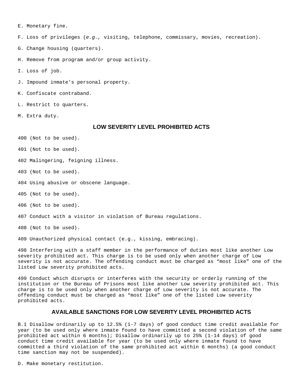E. Monetary fine.

F. Loss of privileges (*e.g.,* visiting, telephone, commissary, movies, recreation).

G. Change housing (quarters).

H. Remove from program and/or group activity.

I. Loss of job.

J. Impound inmate's personal property.

K. Confiscate contraband.

L. Restrict to quarters.

M. Extra duty.

## **LOW SEVERITY LEVEL PROHIBITED ACTS**

400 (Not to be used).

401 (Not to be used).

402 Malingering, feigning illness.

403 (Not to be used).

404 Using abusive or obscene language.

405 (Not to be used).

406 (Not to be used).

407 Conduct with a visitor in violation of Bureau regulations.

408 (Not to be used).

409 Unauthorized physical contact (e.g., kissing, embracing).

498 Interfering with a staff member in the performance of duties most like another Low severity prohibited act. This charge is to be used only when another charge of Low severity is not accurate. The offending conduct must be charged as "most like" one of the listed Low severity prohibited acts.

499 Conduct which disrupts or interferes with the security or orderly running of the institution or the Bureau of Prisons most like another Low severity prohibited act. This charge is to be used only when another charge of Low severity is not accurate. The offending conduct must be charged as "most like" one of the listed Low severity prohibited acts.

## **AVAILABLE SANCTIONS FOR LOW SEVERITY LEVEL PROHIBITED ACTS**

B.1 Disallow ordinarily up to 12.5% (1-7 days) of good conduct time credit available for year (to be used only where inmate found to have committed a second violation of the same prohibited act within 6 months); Disallow ordinarily up to 25% (1-14 days) of good conduct time credit available for year (to be used only where inmate found to have committed a third violation of the same prohibited act within 6 months) (a good conduct time sanction may not be suspended).

D. Make monetary restitution.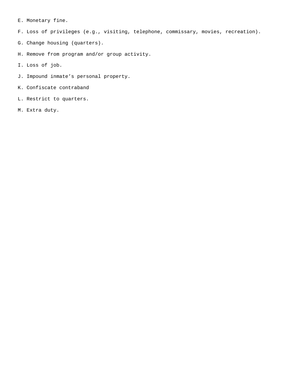E. Monetary fine.

F. Loss of privileges (e.g., visiting, telephone, commissary, movies, recreation).

- G. Change housing (quarters).
- H. Remove from program and/or group activity.
- I. Loss of job.
- J. Impound inmate's personal property.
- K. Confiscate contraband
- L. Restrict to quarters.
- M. Extra duty.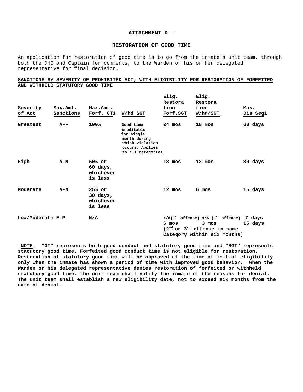### **ATTACHMENT D –**

## **RESTORATION OF GOOD TIME**

An application for restoration of good time is to go from the inmate's unit team, through both the DHO and Captain for comments, to the Warden or his or her delegated representative for final decision.

### **SANCTIONS BY SEVERITY OF PROHIBITED ACT, WITH ELIGIBILITY FOR RESTORATION OF FORFEITED AND WITHHELD STATUTORY GOOD TIME**

|                  |           |                                              |                                                                                                                   | Elig.<br>Restora |          | Elig.<br>Restora |                                                                                                                                |      |          |
|------------------|-----------|----------------------------------------------|-------------------------------------------------------------------------------------------------------------------|------------------|----------|------------------|--------------------------------------------------------------------------------------------------------------------------------|------|----------|
| Severity         | Max.Amt.  | Max.Amt.                                     |                                                                                                                   | tion             |          | tion             |                                                                                                                                | Max. |          |
| of Act           | Sanctions | Forf. GT1                                    | W/hd SGT                                                                                                          |                  | Forf.SGT | W/hd/SGT         |                                                                                                                                |      | Dis Seg1 |
| Greatest         | $A-F$     | 100%                                         | Good time<br>creditable<br>for single<br>month during<br>which violation<br>occurs. Applies<br>to all categories. | $24 \text{ mos}$ |          | 18 mos           |                                                                                                                                |      | 60 days  |
| High             | A-M       | $50%$ or<br>60 days,<br>whichever<br>is less |                                                                                                                   | 18 mos           |          | 12 mos           |                                                                                                                                |      | 30 days  |
| Moderate         | $A-N$     | $25%$ or<br>30 days,<br>whichever<br>is less |                                                                                                                   | $12 \text{ mos}$ |          | 6 mos            |                                                                                                                                |      | 15 days  |
| Low/Moderate E-P |           | N/A                                          |                                                                                                                   | $6 \text{ mos}$  |          | 3 mos            | $N/A(1^{st}$ offense) $N/A$ (1 <sup>st</sup> offense) 7 days<br>$(2nd or 3rd of fense in same)$<br>Category within six months) |      | 15 days  |

**[NOTE: "GT" represents both good conduct and statutory good time and "SGT" represents statutory good time. Forfeited good conduct time is not eligible for restoration. Restoration of statutory good time will be approved at the time of initial eligibility only when the inmate has shown a period of time with improved good behavior. When the Warden or his delegated representative denies restoration of forfeited or withheld statutory good time, the unit team shall notify the inmate of the reasons for denial. The unit team shall establish a new eligibility date, not to exceed six months from the date of denial.**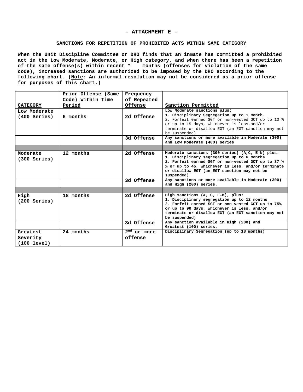#### **- ATTACHMENT E –**

## **SANCTIONS FOR REPETITION OF PROHIBITED ACTS WITHIN SAME CATEGORY**

 **When the Unit Discipline Committee or DHO finds that an inmate has committed a prohibited act in the Low Moderate, Moderate, or High category, and when there has been a repetition of the same offense(s) within recent \* months (offenses for violation of the same code), increased sanctions are authorized to be imposed by the DHO according to the following chart. (Note: An informal resolution may not be considered as a prior offense for purposes of this chart.)**

|                 | Prior Offense (Same | Frequency     |                                                                                                |
|-----------------|---------------------|---------------|------------------------------------------------------------------------------------------------|
|                 | Code) Within Time   | of Repeated   |                                                                                                |
| <b>CATEGORY</b> | Period              | Offense       | Sanction Permitted                                                                             |
| Low Moderate    |                     |               | Low Moderate sanctions plus:                                                                   |
| $(400$ Series)  | 6 months            | 2d Offense    | 1. Disciplinary Segregation up to 1 month.                                                     |
|                 |                     |               | 2. Forfeit earned SGT or non-vested GCT up to 10 %                                             |
|                 |                     |               | or up to 15 days, whichever is less, and/or                                                    |
|                 |                     |               | terminate or disallow EGT (an EGT sanction may not                                             |
|                 |                     |               | be suspended)                                                                                  |
|                 |                     | 3d Offense    | Any sanctions or more available in Moderate (300)<br>and Low Moderate (400) series             |
|                 |                     |               |                                                                                                |
|                 |                     |               |                                                                                                |
| Moderate        | 12 months           | 2d Offense    | Moderate sanctions (300 series) (A,C, E-N) plus:<br>1. Disciplinary segregation up to 6 months |
| $(300$ Series)  |                     |               | 2. Forfeit earned SGT or non-vested GCT up to 37 1/2                                           |
|                 |                     |               | % or up to 45, whichever is less, and/or terminate                                             |
|                 |                     |               | or disallow EGT (an EGT sanction may not be                                                    |
|                 |                     |               | suspended)                                                                                     |
|                 |                     | 3d Offense    | Any sanctions or more available in Moderate (300)                                              |
|                 |                     |               | and High (200) series.                                                                         |
|                 |                     |               |                                                                                                |
| High            | 18 months           | 2d Offense    | High sanctions (A, C, E-M), plus:                                                              |
| $(200$ Series)  |                     |               | 1. Disciplinary segregation up to 12 months                                                    |
|                 |                     |               | 2. Forfeit earned SGT or non-vested GCT up to 75%                                              |
|                 |                     |               | or up to 90 days, whichever is less, and/or                                                    |
|                 |                     |               | terminate or disallow EGT (an EGT sanction may not                                             |
|                 |                     |               | be suspended)<br>Any sanction available in High (200) and                                      |
|                 |                     | 3d Offense    | Greatest (100) series.                                                                         |
| Greatest        | 24 months           | $2nd$ or more | Disciplinary Segregation (up to 18 months)                                                     |
| Severity        |                     | offense       |                                                                                                |
| (100 level)     |                     |               |                                                                                                |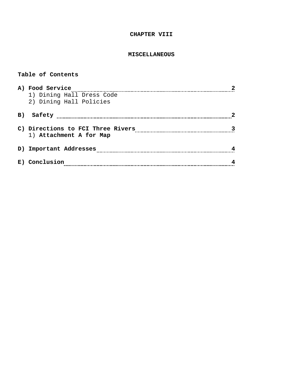# **CHAPTER VIII**

# **MISCELLANEOUS**

# **Table of Contents**

|    | A) Food Service                   |  |
|----|-----------------------------------|--|
|    | 1) Dining Hall Dress Code         |  |
|    | 2) Dining Hall Policies           |  |
| B) | Safety                            |  |
|    |                                   |  |
|    | C) Directions to FCI Three Rivers |  |
|    | 1) Attachment A for Map           |  |
| D) | Important Addresses               |  |
| E) | Conclusion                        |  |
|    |                                   |  |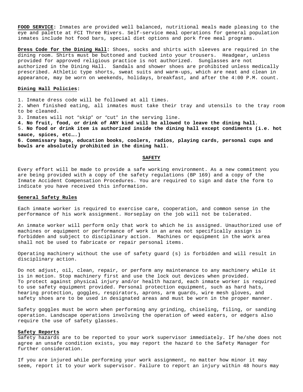**FOOD SERVICE:** Inmates are provided well balanced, nutritional meals made pleasing to the eye and palette at FCI Three Rivers. Self-service meal operations for general population inmates include hot food bars, special diet options and pork free meal programs.

**Dress Code for the Dining Hall:** Shoes, socks and shirts with sleeves are required in the dining room. Shirts must be buttoned and tucked into your trousers. Headgear, unless provided for approved religious practice is not authorized. Sunglasses are not authorized in the Dining Hall. Sandals and shower shoes are prohibited unless medically prescribed. Athletic type shorts, sweat suits and warm-ups, which are neat and clean in appearance, may be worn on weekends, holidays, breakfast, and after the 4:00 P.M. count.

## **Dining Hall Policies:**

1. Inmate dress code will be followed at all times.

2. When finished eating, all inmates must take their tray and utensils to the tray room to be cleaned.

3. Inmates will not "skip" or "cut" in the serving line.

**4. No fruit, food, or drink of ANY kind will be allowed to leave the dining hall**.

5. **No food or drink item is authorized inside the dining hall except condiments (i.e. hot sauce, spices, etc….)**

**6. Commissary bags, education books, coolers, radios, playing cards, personal cups and bowls are absolutely prohibited in the dining hall.**

#### **SAFETY**

Every effort will be made to provide a safe working environment. As a new commitment you are being provided with a copy of the safety regulations (BP 169) and a copy of the Inmate Accident Compensation Procedures. You are required to sign and date the form to indicate you have received this information.

# **General Safety Rules**

Each inmate worker is required to exercise care, cooperation, and common sense in the performance of his work assignment. Horseplay on the job will not be tolerated.

An inmate worker will perform only that work to which he is assigned. Unauthorized use of machines or equipment or performance of work in an area not specifically assign is forbidden and subject to disciplinary action. Machines or equipment in the work area shall not be used to fabricate or repair personal items.

Operating machinery without the use of safety guard (s) is forbidden and will result in disciplinary action.

Do not adjust, oil, clean, repair, or perform any maintenance to any machinery while it is in motion. Stop machinery first and use the lock out devices when provided. To protect against physical injury and/or health hazard, each inmate worker is required to use safety equipment provided. Personal protection equipment, such as hard hats, hearing protection, goggles, respirators, aprons, arm guards, wire mesh gloves, and safety shoes are to be used in designated areas and must be worn in the proper manner.

Safety goggles must be worn when performing any grinding, chiseling, filing, or sanding operation. Landscape operations involving the operation of weed eaters, or edgers also require the use of safety glasses.

### **Safety Reports**

Safety hazards are to be reported to your work supervisor immediately. If he/she does not agree an unsafe condition exists, you may report the hazard to the Safety Manager for further consideration.

If you are injured while performing your work assignment, no matter how minor it may seem, report it to your work supervisor. Failure to report an injury within 48 hours may